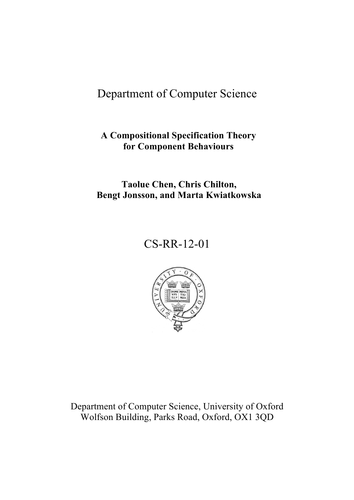# Department of Computer Science

# **A Compositional Specification Theory for Component Behaviours**

**Taolue Chen, Chris Chilton, Bengt Jonsson, and Marta Kwiatkowska**

# CS-RR-12-01



Department of Computer Science, University of Oxford Wolfson Building, Parks Road, Oxford, OX1 3QD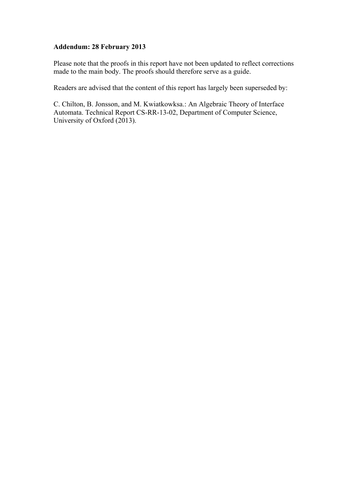# **Addendum: 28 February 2013**

Please note that the proofs in this report have not been updated to reflect corrections made to the main body. The proofs should therefore serve as a guide.

Readers are advised that the content of this report has largely been superseded by:

C. Chilton, B. Jonsson, and M. Kwiatkowksa.: An Algebraic Theory of Interface Automata. Technical Report CS-RR-13-02, Department of Computer Science, University of Oxford (2013).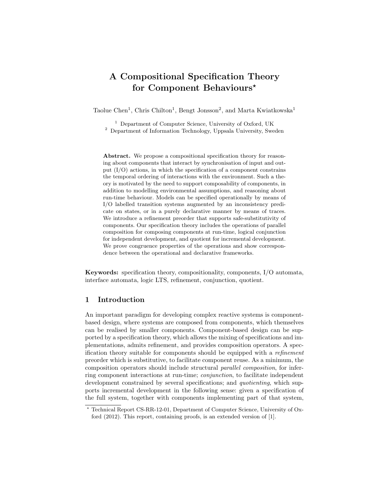# A Compositional Specification Theory for Component Behaviours\*

Taolue Chen<sup>1</sup>, Chris Chilton<sup>1</sup>, Bengt Jonsson<sup>2</sup>, and Marta Kwiatkowska<sup>1</sup>

<sup>1</sup> Department of Computer Science, University of Oxford, UK <sup>2</sup> Department of Information Technology, Uppsala University, Sweden

Abstract. We propose a compositional specification theory for reasoning about components that interact by synchronisation of input and output  $(I/O)$  actions, in which the specification of a component constrains the temporal ordering of interactions with the environment. Such a theory is motivated by the need to support composability of components, in addition to modelling environmental assumptions, and reasoning about run-time behaviour. Models can be specified operationally by means of I/O labelled transition systems augmented by an inconsistency predicate on states, or in a purely declarative manner by means of traces. We introduce a refinement preorder that supports safe-substitutivity of components. Our specification theory includes the operations of parallel composition for composing components at run-time, logical conjunction for independent development, and quotient for incremental development. We prove congruence properties of the operations and show correspondence between the operational and declarative frameworks.

Keywords: specification theory, compositionality, components, I/O automata, interface automata, logic LTS, refinement, conjunction, quotient.

# 1 Introduction

An important paradigm for developing complex reactive systems is componentbased design, where systems are composed from components, which themselves can be realised by smaller components. Component-based design can be supported by a specification theory, which allows the mixing of specifications and implementations, admits refinement, and provides composition operators. A specification theory suitable for components should be equipped with a *refinement* preorder which is substitutive, to facilitate component reuse. As a minimum, the composition operators should include structural *parallel composition*, for inferring component interactions at run-time; *conjunction*, to facilitate independent development constrained by several specifications; and *quotienting*, which supports incremental development in the following sense: given a specification of the full system, together with components implementing part of that system,

<sup>?</sup> Technical Report CS-RR-12-01, Department of Computer Science, University of Oxford (2012). This report, containing proofs, is an extended version of [\[1\]](#page-21-0).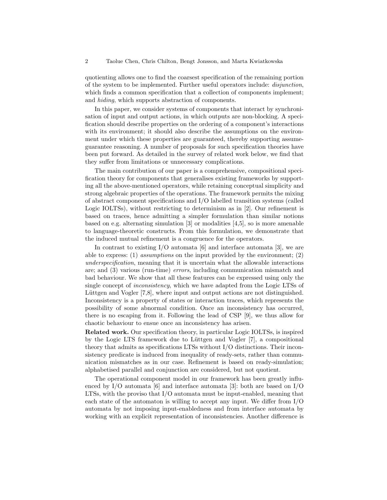quotienting allows one to find the coarsest specification of the remaining portion of the system to be implemented. Further useful operators include: *disjunction*, which finds a common specification that a collection of components implement; and *hiding*, which supports abstraction of components.

In this paper, we consider systems of components that interact by synchronisation of input and output actions, in which outputs are non-blocking. A specification should describe properties on the ordering of a component's interactions with its environment; it should also describe the assumptions on the environment under which these properties are guaranteed, thereby supporting assumeguarantee reasoning. A number of proposals for such specification theories have been put forward. As detailed in the survey of related work below, we find that they suffer from limitations or unnecessary complications.

The main contribution of our paper is a comprehensive, compositional specification theory for components that generalises existing frameworks by supporting all the above-mentioned operators, while retaining conceptual simplicity and strong algebraic properties of the operations. The framework permits the mixing of abstract component specifications and I/O labelled transition systems (called Logic IOLTSs), without restricting to determinism as in [\[2\]](#page-21-1). Our refinement is based on traces, hence admitting a simpler formulation than similar notions based on e.g. alternating simulation  $[3]$  or modalities  $[4,5]$  $[4,5]$ , so is more amenable to language-theoretic constructs. From this formulation, we demonstrate that the induced mutual refinement is a congruence for the operators.

In contrast to existing  $I/O$  automata [\[6\]](#page-21-5) and interface automata [\[3\]](#page-21-2), we are able to express: (1) *assumptions* on the input provided by the environment; (2) *underspecification*, meaning that it is uncertain what the allowable interactions are; and (3) various (run-time) *errors*, including communication mismatch and bad behaviour. We show that all these features can be expressed using only the single concept of *inconsistency*, which we have adapted from the Logic LTSs of Lüttgen and Vogler [\[7,](#page-21-6)[8\]](#page-21-7), where input and output actions are not distinguished. Inconsistency is a property of states or interaction traces, which represents the possibility of some abnormal condition. Once an inconsistency has occurred, there is no escaping from it. Following the lead of CSP [\[9\]](#page-21-8), we thus allow for chaotic behaviour to ensue once an inconsistency has arisen.

Related work. Our specification theory, in particular Logic IOLTSs, is inspired by the Logic LTS framework due to Lüttgen and Vogler [\[7\]](#page-21-6), a compositional theory that admits as specifications LTSs without I/O distinctions. Their inconsistency predicate is induced from inequality of ready-sets, rather than communication mismatches as in our case. Refinement is based on ready-simulation; alphabetised parallel and conjunction are considered, but not quotient.

The operational component model in our framework has been greatly influenced by I/O automata [\[6\]](#page-21-5) and interface automata [\[3\]](#page-21-2): both are based on I/O LTSs, with the proviso that I/O automata must be input-enabled, meaning that each state of the automaton is willing to accept any input. We differ from  $I/O$ automata by not imposing input-enabledness and from interface automata by working with an explicit representation of inconsistencies. Another difference is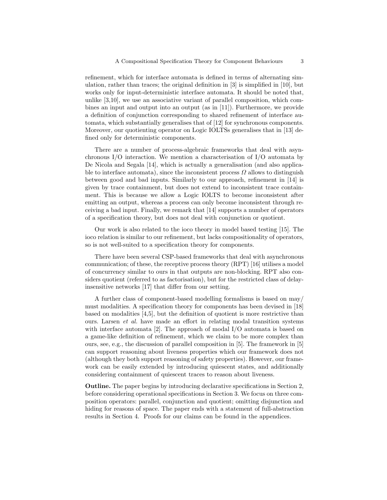refinement, which for interface automata is defined in terms of alternating simulation, rather than traces; the original definition in [\[3\]](#page-21-2) is simplified in [\[10\]](#page-21-9), but works only for input-deterministic interface automata. It should be noted that, unlike [\[3](#page-21-2)[,10\]](#page-21-9), we use an associative variant of parallel composition, which combines an input and output into an output (as in [\[11\]](#page-21-10)). Furthermore, we provide a definition of conjunction corresponding to shared refinement of interface automata, which substantially generalises that of [\[12\]](#page-21-11) for synchronous components. Moreover, our quotienting operator on Logic IOLTSs generalises that in [\[13\]](#page-21-12) defined only for deterministic components.

There are a number of process-algebraic frameworks that deal with asynchronous I/O interaction. We mention a characterisation of I/O automata by De Nicola and Segala [\[14\]](#page-21-13), which is actually a generalisation (and also applicable to interface automata), since the inconsistent process  $\Omega$  allows to distinguish between good and bad inputs. Similarly to our approach, refinement in [\[14\]](#page-21-13) is given by trace containment, but does not extend to inconsistent trace containment. This is because we allow a Logic IOLTS to become inconsistent after emitting an output, whereas a process can only become inconsistent through receiving a bad input. Finally, we remark that [\[14\]](#page-21-13) supports a number of operators of a specification theory, but does not deal with conjunction or quotient.

Our work is also related to the ioco theory in model based testing [\[15\]](#page-21-14). The ioco relation is similar to our refinement, but lacks compositionality of operators, so is not well-suited to a specification theory for components.

There have been several CSP-based frameworks that deal with asynchronous communication; of these, the receptive process theory (RPT) [\[16\]](#page-21-15) utilises a model of concurrency similar to ours in that outputs are non-blocking. RPT also considers quotient (referred to as factorisation), but for the restricted class of delay-insensitive networks [\[17\]](#page-21-16) that differ from our setting.

A further class of component-based modelling formalisms is based on may/ must modalities. A specification theory for components has been devised in [\[18\]](#page-21-17) based on modalities [\[4,](#page-21-3)[5\]](#page-21-4), but the definition of quotient is more restrictive than ours. Larsen *et al.* have made an effort in relating modal transition systems with interface automata [\[2\]](#page-21-1). The approach of modal I/O automata is based on a game-like definition of refinement, which we claim to be more complex than ours, see, e.g., the discussion of parallel composition in [\[5\]](#page-21-4). The framework in [\[5\]](#page-21-4) can support reasoning about liveness properties which our framework does not (although they both support reasoning of safety properties). However, our framework can be easily extended by introducing quiescent states, and additionally considering containment of quiescent traces to reason about liveness.

Outline. The paper begins by introducing declarative specifications in Section [2,](#page-5-0) before considering operational specifications in Section [3.](#page-10-0) We focus on three composition operators: parallel, conjunction and quotient; omitting disjunction and hiding for reasons of space. The paper ends with a statement of full-abstraction results in Section [4.](#page-19-0) Proofs for our claims can be found in the appendices.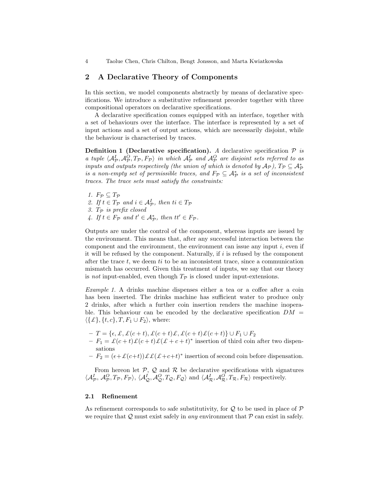# <span id="page-5-0"></span>2 A Declarative Theory of Components

In this section, we model components abstractly by means of declarative specifications. We introduce a substitutive refinement preorder together with three compositional operators on declarative specifications.

A declarative specification comes equipped with an interface, together with a set of behaviours over the interface. The interface is represented by a set of input actions and a set of output actions, which are necessarily disjoint, while the behaviour is characterised by traces.

**Definition 1** (Declarative specification). A declarative specification  $\mathcal{P}$  *is* a tuple  $\langle A^I_P, A^O_P, T_P, F_P \rangle$  in which  $A^I_P$  and  $A^O_P$  are disjoint sets referred to as *inputs and outputs respectively (the union of which is denoted by*  $A_p$ *),*  $T_p \subseteq A_p^*$ *is a non-empty set of permissible traces, and*  $F_{\mathcal{P}} \subseteq \mathcal{A}_{\mathcal{P}}^*$  *is a set of inconsistent traces. The trace sets must satisfy the constraints:*

1.  $F_{\mathcal{P}} \subseteq T_{\mathcal{P}}$ 2. If  $t \in T_{\mathcal{P}}$  and  $i \in A_{\mathcal{P}}^I$ , then  $ti \in T_{\mathcal{P}}$ *3. T<sup>P</sup> is prefix closed* 4. If  $t \in F_{\mathcal{P}}$  and  $t' \in \mathcal{A}_{\mathcal{P}}^*$ , then  $tt' \in F_{\mathcal{P}}$ .

Outputs are under the control of the component, whereas inputs are issued by the environment. This means that, after any successful interaction between the component and the environment, the environment can issue any input *i*, even if it will be refused by the component. Naturally, if *i* is refused by the component after the trace *t*, we deem *ti* to be an inconsistent trace, since a communication mismatch has occurred. Given this treatment of inputs, we say that our theory is *not* input-enabled, even though  $T_P$  is closed under input-extensions.

*Example 1.* A drinks machine dispenses either a tea or a coffee after a coin has been inserted. The drinks machine has sufficient water to produce only 2 drinks, after which a further coin insertion renders the machine inoperable. This behaviour can be encoded by the declarative specification  $DM =$  $\langle \{\pounds\}, \{t, c\}, T, F_1 \cup F_2 \rangle$ , where:

- $T = \{\epsilon, \pounds, \pounds, \epsilon(c+t), \pounds(c+t)\pounds, \pounds(c+t)\pounds(c+t)\} \cup F_1 \cup F_2$
- $-F_1 = \mathcal{L}(c+t)\mathcal{L}(c+t)\mathcal{L}(t+c+t)^*$  insertion of third coin after two dispensations
- $-F_2 = (\epsilon + \mathcal{L}(c+t)) \mathcal{L}\mathcal{L}(\mathcal{L}+c+t)^*$  insertion of second coin before dispensation.

From hereon let  $P$ ,  $Q$  and  $R$  be declarative specifications with signatures  $\langle A_P^I, A_P^O, T_P, F_P \rangle, \langle A_Q^I, A_Q^O, T_Q, F_Q \rangle$  and  $\langle A_R^I, A_R^O, T_R, F_R \rangle$  respectively.

### 2.1 Refinement

As refinement corresponds to safe substitutivity, for *Q* to be used in place of *P* we require that  $Q$  must exist safely in *any* environment that  $P$  can exist in safely.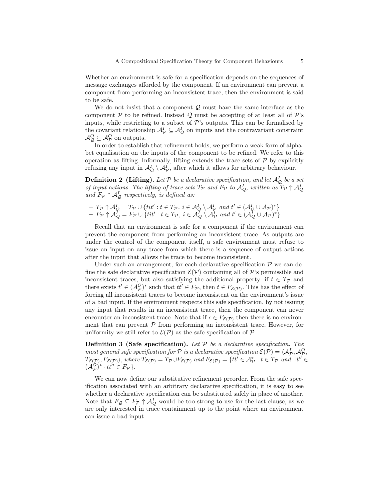Whether an environment is safe for a specification depends on the sequences of message exchanges afforded by the component. If an environment can prevent a component from performing an inconsistent trace, then the environment is said to be safe.

We do not insist that a component *Q* must have the same interface as the component  $\mathcal P$  to be refined. Instead  $\mathcal Q$  must be accepting of at least all of  $\mathcal P$ 's inputs, while restricting to a subset of  $\mathcal{P}$ 's outputs. This can be formalised by the covariant relationship  $\mathcal{A}_{\mathcal{P}}^{I} \subseteq \mathcal{A}_{\mathcal{Q}}^{I}$  on inputs and the contravariant constraint  $\mathcal{A}_{\mathcal{Q}}^O \subseteq \mathcal{A}_{\mathcal{P}}^O$  on outputs.

In order to establish that refinement holds, we perform a weak form of alphabet equalisation on the inputs of the component to be refined. We refer to this operation as lifting. Informally, lifting extends the trace sets of  $P$  by explicitly refusing any input in  $\mathcal{A}_{\mathcal{Q}}^{I} \setminus \mathcal{A}_{\mathcal{P}}^{I}$ , after which it allows for arbitrary behaviour.

**Definition 2 (Lifting).** Let  $P$  be a declarative specification, and let  $A_Q^I$  be a set *of input actions. The lifting of trace sets*  $T_P$  *and*  $F_P$  *to*  $A_Q^I$ *, written as*  $T_P \uparrow A_Q^I$ *and*  $F_P \uparrow A_Q^I$  *respectively, is defined as:* 

$$
- T_{\mathcal{P}} \uparrow \mathcal{A}_{\mathcal{Q}}^{I} = T_{\mathcal{P}} \cup \{ tit' : t \in T_{\mathcal{P}}, i \in \mathcal{A}_{\mathcal{Q}}^{I} \setminus \mathcal{A}_{\mathcal{P}}^{I} \text{ and } t' \in (\mathcal{A}_{\mathcal{Q}}^{I} \cup \mathcal{A}_{\mathcal{P}})^{*} \} - F_{\mathcal{P}} \uparrow \mathcal{A}_{\mathcal{Q}}^{I} = F_{\mathcal{P}} \cup \{ tit' : t \in T_{\mathcal{P}}, i \in \mathcal{A}_{\mathcal{Q}}^{I} \setminus \mathcal{A}_{\mathcal{P}}^{I} \text{ and } t' \in (\mathcal{A}_{\mathcal{Q}}^{I} \cup \mathcal{A}_{\mathcal{P}})^{*} \}.
$$

Recall that an environment is safe for a component if the environment can prevent the component from performing an inconsistent trace. As outputs are under the control of the component itself, a safe environment must refuse to issue an input on any trace from which there is a sequence of output actions after the input that allows the trace to become inconsistent.

Under such an arrangement, for each declarative specification  $P$  we can define the safe declarative specification  $\mathcal{E}(\mathcal{P})$  containing all of  $\mathcal{P}$ 's permissible and inconsistent traces, but also satisfying the additional property: if  $t \in T_{\mathcal{P}}$  and there exists  $t' \in (\mathcal{A}_{\mathcal{P}}^O)^*$  such that  $tt' \in F_{\mathcal{P}}$ , then  $t \in F_{\mathcal{E}(\mathcal{P})}$ . This has the effect of forcing all inconsistent traces to become inconsistent on the environment's issue of a bad input. If the environment respects this safe specification, by not issuing any input that results in an inconsistent trace, then the component can never encounter an inconsistent trace. Note that if  $\epsilon \in F_{\mathcal{E}(P)}$  then there is no environment that can prevent  $P$  from performing an inconsistent trace. However, for uniformity we still refer to  $\mathcal{E}(\mathcal{P})$  as the safe specification of  $\mathcal{P}$ .

Definition 3 (Safe specification). *Let P be a declarative specification. The most general safe specification for <sup>P</sup> is a declarative specification <sup>E</sup>*(*P*) = <sup>h</sup>*A<sup>I</sup> <sup>P</sup> , <sup>A</sup><sup>O</sup> P ,*  $T_{\mathcal{E}(\mathcal{P})}, F_{\mathcal{E}(\mathcal{P})}\rangle$ , where  $T_{\mathcal{E}(\mathcal{P})} = T_{\mathcal{P}} \cup F_{\mathcal{E}(\mathcal{P})}$  and  $F_{\mathcal{E}(\mathcal{P})} = \{tt' \in \mathcal{A}_{\mathcal{P}}^* : t \in T_{\mathcal{P}} \text{ and } \exists t'' \in \mathcal{E}_{\mathcal{P}}\}$  $(A_{\mathcal{P}}^{O})^* \cdot tt^{\prime\prime} \in F_{\mathcal{P}}$ .

<span id="page-6-0"></span>We can now define our substitutive refinement preorder. From the safe specification associated with an arbitrary declarative specification, it is easy to see whether a declarative specification can be substituted safely in place of another. Note that  $F_Q \subseteq F_P \uparrow \mathcal{A}_Q^I$  would be too strong to use for the last clause, as we are only interested in trace containment up to the point where an environment can issue a bad input.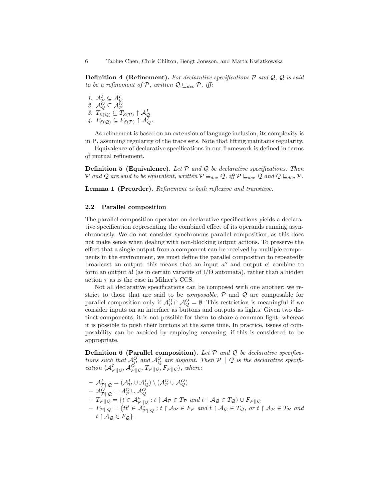Definition 4 (Refinement). *For declarative specifications P and Q, Q is said to be a refinement of*  $P$ *, written*  $Q \sqsubseteq_{dec} P$ *, iff:* 

1. 
$$
A_P^I \subseteq A_Q^I
$$
  
\n2.  $A_Q^O \subseteq A_P^O$   
\n3.  $T_{\mathcal{E}(\mathcal{Q})} \subseteq T_{\mathcal{E}(\mathcal{P})} \uparrow A_Q^I$   
\n4.  $F_{\mathcal{E}(\mathcal{Q})} \subseteq F_{\mathcal{E}(\mathcal{P})} \uparrow A_Q^I$ .

As refinement is based on an extension of language inclusion, its complexity is in P, assuming regularity of the trace sets. Note that lifting maintains regularity.

Equivalence of declarative specifications in our framework is defined in terms of mutual refinement.

Definition 5 (Equivalence). *Let P and Q be declarative specifications. Then P* and *Q* are said to be equivalent, written  $P \equiv_{dec} Q$ , if  $P \sqsubseteq_{dec} Q$  and  $Q \sqsubseteq_{dec} P$ .

<span id="page-7-0"></span>Lemma 1 (Preorder). *Refinement is both reflexive and transitive.*

#### 2.2 Parallel composition

The parallel composition operator on declarative specifications yields a declarative specification representing the combined effect of its operands running asynchronously. We do not consider synchronous parallel composition, as this does not make sense when dealing with non-blocking output actions. To preserve the effect that a single output from a component can be received by multiple components in the environment, we must define the parallel composition to repeatedly broadcast an output: this means that an input *a*? and output *a*! combine to form an output *a*! (as in certain variants of I/O automata), rather than a hidden action  $\tau$  as is the case in Milner's CCS.

Not all declarative specifications can be composed with one another; we restrict to those that are said to be *composable*. *P* and *Q* are composable for parallel composition only if  $\mathcal{A}_{\mathcal{P}}^{\mathcal{Q}} \cap \mathcal{A}_{\mathcal{Q}}^{\mathcal{Q}} = \emptyset$ . This restriction is meaningful if we consider inputs on an interface as buttons and outputs as lights. Given two distinct components, it is not possible for them to share a common light, whereas it is possible to push their buttons at the same time. In practice, issues of composability can be avoided by employing renaming, if this is considered to be appropriate.

Definition 6 (Parallel composition). *Let P and Q be declarative specifications such that*  $\mathcal{A}_{\mathcal{Q}}^{\mathcal{Q}}$  *and*  $\mathcal{A}_{\mathcal{Q}}^{\mathcal{Q}}$  *are disjoint. Then*  $\mathcal{P} \parallel \mathcal{Q}$  *is the declarative specification*  $\langle A^I_{\mathcal{P}} | \mathcal{Q}, A^O_{\mathcal{P}} | \mathcal{Q}, T_{\mathcal{P}} | \mathcal{Q}, F_{\mathcal{P}} | \mathcal{Q} \rangle$ , where:

 $-\mathcal{A}_{\mathcal{P}||\mathcal{Q}}^{I} = (\mathcal{A}_{\mathcal{P}}^{I} \cup \mathcal{A}_{\mathcal{Q}}^{I}) \setminus (\mathcal{A}_{\mathcal{P}}^{O} \cup \mathcal{A}_{\mathcal{Q}}^{O})$ 

$$
-\mathcal{A}_{\mathcal{P}||\mathcal{O}}^{\mathcal{O}}=\mathcal{A}_{\mathcal{P}}^{\mathcal{O}}\cup\mathcal{A}_{\mathcal{O}}^{\mathcal{O}}
$$

- $-A_{\mathcal{P}||\mathcal{Q}}^{\mathcal{O}} = A_{\mathcal{P}}^{\mathcal{O}} \cup A_{\mathcal{Q}}^{\mathcal{O}}$ <br>  $-T_{\mathcal{P}||\mathcal{Q}} = \{t \in A_{\mathcal{P}||\mathcal{Q}}^* : t \upharpoonright A_{\mathcal{P}} \in T_{\mathcal{P}} \text{ and } t \upharpoonright A_{\mathcal{Q}} \in T_{\mathcal{Q}}\} \cup F_{\mathcal{P}||\mathcal{Q}}$
- $-F_{\mathcal{P}}|_{\mathcal{Q}} = \{tt' \in \mathcal{A}_{\mathcal{P}}^*|_{\mathcal{Q}} : t \upharpoonright \mathcal{A}_{\mathcal{P}} \in F_{\mathcal{P}} \text{ and } t \upharpoonright \mathcal{A}_{\mathcal{Q}} \in T_{\mathcal{Q}}, \text{ or } t \upharpoonright \mathcal{A}_{\mathcal{P}} \in T_{\mathcal{P}} \text{ and } t \upharpoonright \mathcal{A}_{\mathcal{Q}} \in T_{\mathcal{Q}}$  $t \upharpoonright \mathcal{A}_{\mathcal{Q}} \in F_{\mathcal{Q}}$ .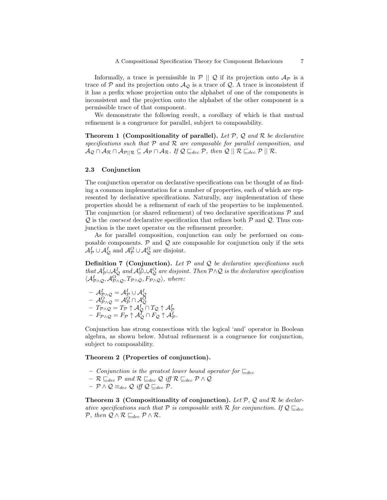Informally, a trace is permissible in  $P \parallel Q$  if its projection onto  $\mathcal{A}_{\mathcal{P}}$  is a trace of  $P$  and its projection onto  $A_Q$  is a trace of  $Q$ . A trace is inconsistent if it has a prefix whose projection onto the alphabet of one of the components is inconsistent and the projection onto the alphabet of the other component is a permissible trace of that component.

We demonstrate the following result, a corollary of which is that mutual refinement is a congruence for parallel, subject to composability.

<span id="page-8-0"></span>Theorem 1 (Compositionality of parallel). *Let P, Q and R be declarative specifications such that P and R are composable for parallel composition, and*  $A_{\mathcal{Q}} \cap A_{\mathcal{R}} \cap A_{\mathcal{P}}|_{\mathcal{R}} \subseteq A_{\mathcal{P}} \cap A_{\mathcal{R}}$ *. If*  $\mathcal{Q} \sqsubseteq_{dec} \mathcal{P}$ *, then*  $\mathcal{Q} \parallel \mathcal{R} \sqsubseteq_{dec} \mathcal{P} \parallel \mathcal{R}$ *.* 

#### 2.3 Conjunction

The conjunction operator on declarative specifications can be thought of as finding a common implementation for a number of properties, each of which are represented by declarative specifications. Naturally, any implementation of these properties should be a refinement of each of the properties to be implemented. The conjunction (or shared refinement) of two declarative specifications *P* and *Q* is the *coarsest* declarative specification that refines both *P* and *Q*. Thus conjunction is the meet operator on the refinement preorder.

As for parallel composition, conjunction can only be performed on composable components.  $P$  and  $Q$  are composable for conjunction only if the sets  $\mathcal{A}_{\mathcal{P}}^{I} \cup \mathcal{A}_{\mathcal{Q}}^{I}$  and  $\mathcal{A}_{\mathcal{P}}^{O} \cup \mathcal{A}_{\mathcal{Q}}^{O}$  are disjoint.

Definition 7 (Conjunction). *Let P and Q be declarative specifications such that*  $A_P^I \cup A_Q^I$  and  $A_P^O \cup A_Q^O$  are disjoint. Then  $P \wedge Q$  is the declarative specification  $\langle A_{\mathcal{P}\wedge\mathcal{Q}}^I, A_{\mathcal{P}\wedge\mathcal{Q}}^O, T_{\mathcal{P}\wedge\mathcal{Q}}, F_{\mathcal{P}\wedge\mathcal{Q}}\rangle$ , where:

$$
\begin{array}{l} -\mathcal{A}_{\mathcal{P}\wedge\mathcal{Q}}^{I}=\mathcal{A}_{\mathcal{P}}^{I}\cup\mathcal{A}_{\mathcal{Q}}^{I}\\ -\mathcal{A}_{\mathcal{P}\wedge\mathcal{Q}}^{O}=\mathcal{A}_{\mathcal{P}}^{O}\cap\mathcal{A}_{\mathcal{Q}}^{O}\\ -\mathit{T}_{\mathcal{P}\wedge\mathcal{Q}}=\mathit{T}_{\mathcal{P}}\uparrow\mathcal{A}_{\mathcal{Q}}^{I}\cap\mathit{T}_{\mathcal{Q}}\uparrow\mathcal{A}_{\mathcal{P}}^{I}\\ -\mathit{F}_{\mathcal{P}\wedge\mathcal{Q}}=\mathit{F}_{\mathcal{P}}\uparrow\mathcal{A}_{\mathcal{Q}}^{I}\cap\mathit{F}_{\mathcal{Q}}\uparrow\mathcal{A}_{\mathcal{P}}^{I}.\end{array}
$$

Conjunction has strong connections with the logical 'and' operator in Boolean algebra, as shown below. Mutual refinement is a congruence for conjunction, subject to composability.

# <span id="page-8-1"></span>Theorem 2 (Properties of conjunction).

- $\sim$  *Conjunction is the greatest lower bound operator for*  $\mathcal{L}_{dec}$
- $\mathcal{R} \sqsubseteq_{dec} \mathcal{P}$  and  $\mathcal{R} \sqsubseteq_{dec} \mathcal{Q}$  *iff*  $\mathcal{R} \sqsubseteq_{dec} \mathcal{P} \wedge \mathcal{Q}$
- $\mathcal{P} \wedge \mathcal{Q} \equiv_{dec} \mathcal{Q}$  *iff*  $\mathcal{Q} \sqsubseteq_{dec} \mathcal{P}$ *.*

<span id="page-8-2"></span>Theorem 3 (Compositionality of conjunction). *Let P, Q and R be declarative specifications such that*  $P$  *is composable with*  $R$  *for conjunction.* If  $Q \sqsubseteq_{dec}$ *P,* then  $Q \wedge R \sqsubseteq_{dec} P \wedge R$ *.*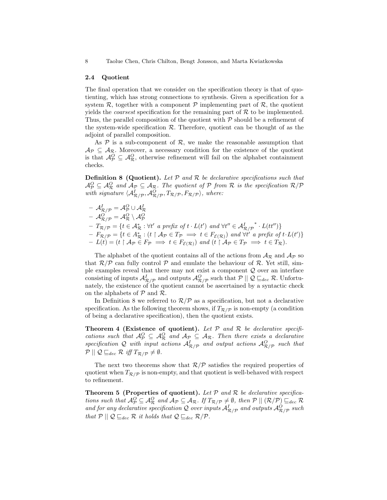#### 2.4 Quotient

The final operation that we consider on the specification theory is that of quotienting, which has strong connections to synthesis. Given a specification for a system  $\mathcal{R}$ , together with a component  $\mathcal{P}$  implementing part of  $\mathcal{R}$ , the quotient yields the *coarsest* specification for the remaining part of  $R$  to be implemented. Thus, the parallel composition of the quotient with *P* should be a refinement of the system-wide specification  $R$ . Therefore, quotient can be thought of as the adjoint of parallel composition.

As  $P$  is a sub-component of  $R$ , we make the reasonable assumption that  $A_{\mathcal{P}} \subseteq A_{\mathcal{R}}$ . Moreover, a necessary condition for the existence of the quotient is that  $\mathcal{A}_{\mathcal{P}}^{\mathcal{Q}} \subseteq \mathcal{A}_{\mathcal{R}}^{\mathcal{Q}}$ , otherwise refinement will fail on the alphabet containment checks.

<span id="page-9-0"></span>Definition 8 (Quotient). *Let P and R be declarative specifications such that*  $A^O_P \subseteq A^O_R$  and  $A_P \subseteq A_R$ . The quotient of *P* from *R* is the specification  $R/P$ *with signature*  $\langle A_{\mathcal{R}/\mathcal{P}}^I, A_{\mathcal{R}/\mathcal{P}}^O, T_{\mathcal{R}/\mathcal{P}}, F_{\mathcal{R}/\mathcal{P}}\rangle$ , where:

 $-\mathcal{A}_{\mathcal{R}/\mathcal{P}}^{I} = \mathcal{A}_{\mathcal{P}}^{O} \cup \mathcal{A}_{\mathcal{P}}^{I}$  $A_{\mathcal{R}/\mathcal{P}}^O = A_{\mathcal{R}}^O \setminus A_{\mathcal{P}}^O$  $-T_{\mathcal{R}/\mathcal{P}} = \{t \in \mathcal{A}_{\mathcal{R}}^* : \forall t' \text{ a prefix of } t \cdot L(t') \text{ and } \forall t'' \in \mathcal{A}_{\mathcal{R}/\mathcal{P}}^t * L(tt'')\}$  $-F_{\mathcal{R}/\mathcal{P}} = \{t \in A_{\mathcal{R}}^* : (t \upharpoonright A_{\mathcal{P}} \in T_{\mathcal{P}} \implies t \in F_{\mathcal{E}(\mathcal{R})}) \text{ and } \forall t' \text{ a prefix of } t \cdot L(t')\}$  $-L(t) = (t \restriction \mathcal{A}_{\mathcal{P}} \in F_{\mathcal{P}} \implies t \in F_{\mathcal{E}(\mathcal{R})}) \text{ and } (t \restriction \mathcal{A}_{\mathcal{P}} \in T_{\mathcal{P}} \implies t \in T_{\mathcal{R}}).$ 

The alphabet of the quotient contains all of the actions from  $A_{\mathcal{R}}$  and  $A_{\mathcal{P}}$  so that  $\mathcal{R}/\mathcal{P}$  can fully control  $\mathcal P$  and emulate the behaviour of  $\mathcal R$ . Yet still, simple examples reveal that there may not exist a component *Q* over an interface consisting of inputs  $\mathcal{A}_{\mathcal{R}/\mathcal{P}}^I$  and outputs  $\mathcal{A}_{\mathcal{R}/\mathcal{P}}^O$  such that  $\mathcal{P} \parallel \mathcal{Q} \sqsubseteq_{dec} \mathcal{R}$ . Unfortunately, the existence of the quotient cannot be ascertained by a syntactic check on the alphabets of *P* and *R*.

In Definition [8](#page-9-0) we referred to  $\mathcal{R}/\mathcal{P}$  as a specification, but not a declarative specification. As the following theorem shows, if  $T_{\mathcal{R}/\mathcal{P}}$  is non-empty (a condition of being a declarative specification), then the quotient exists.

<span id="page-9-1"></span>Theorem 4 (Existence of quotient). *Let P and R be declarative specifications such that*  $A_{\mathcal{P}}^{\mathcal{Q}} \subseteq A_{\mathcal{R}}^{\mathcal{Q}}$  and  $A_{\mathcal{P}} \subseteq A_{\mathcal{R}}$ . Then there exists a declarative  $specification$  *Q with input actions*  $A_{\mathcal{R}/\mathcal{P}}^I$  *and output actions*  $A_{\mathcal{R}/\mathcal{P}}^O$  *such that*  $\mathcal{P} \parallel \mathcal{Q} \sqsubseteq_{dec} \mathcal{R} \text{ iff } T_{\mathcal{R}/\mathcal{P}} \neq \emptyset.$ 

The next two theorems show that  $R/P$  satisfies the required properties of quotient when  $T_{\mathcal{R}/\mathcal{P}}$  is non-empty, and that quotient is well-behaved with respect to refinement.

<span id="page-9-2"></span>Theorem 5 (Properties of quotient). *Let P and R be declarative specifica*tions such that  $\mathcal{A}_{\mathcal{P}}^{\mathcal{Q}} \subseteq \mathcal{A}_{\mathcal{R}}^{\mathcal{Q}}$  and  $\mathcal{A}_{\mathcal{P}} \subseteq \mathcal{A}_{\mathcal{R}}$ . If  $T_{\mathcal{R}/\mathcal{P}} \neq \emptyset$ , then  $\mathcal{P} \parallel (\mathcal{R}/\mathcal{P}) \sqsubseteq_{dec} \mathcal{R}$ *and for any declarative specification*  $Q$  *over inputs*  $A^I_{R/P}$  *and outputs*  $A^O_{R/P}$  *such that*  $P \parallel Q \sqsubseteq_{dec} R$  *it holds that*  $Q \sqsubseteq_{dec} R/P$ *.*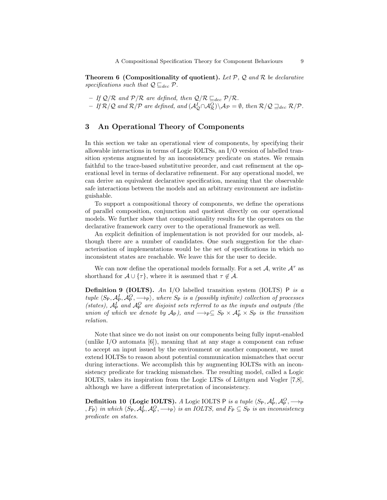<span id="page-10-1"></span>Theorem 6 (Compositionality of quotient). *Let P, Q and R be declarative* specifications such that  $Q \sqsubseteq_{dec} P$ .

 $-$  *If*  $\mathcal{Q}/\mathcal{R}$  and  $\mathcal{P}/\mathcal{R}$  are defined, then  $\mathcal{Q}/\mathcal{R} \sqsubseteq_{dec} \mathcal{P}/\mathcal{R}$ .

 $-If\mathcal{R}/\mathcal{Q}$  and  $\mathcal{R}/\mathcal{P}$  are defined, and  $(A_{\mathcal{Q}}^I \cap A_{\mathcal{R}}^O) \setminus A_{\mathcal{P}} = \emptyset$ , then  $\mathcal{R}/\mathcal{Q} \sqsupseteq_{dec} \mathcal{R}/\mathcal{P}$ .

# <span id="page-10-0"></span>3 An Operational Theory of Components

In this section we take an operational view of components, by specifying their allowable interactions in terms of Logic IOLTSs, an I/O version of labelled transition systems augmented by an inconsistency predicate on states. We remain faithful to the trace-based substitutive preorder, and cast refinement at the operational level in terms of declarative refinement. For any operational model, we can derive an equivalent declarative specification, meaning that the observable safe interactions between the models and an arbitrary environment are indistinguishable.

To support a compositional theory of components, we define the operations of parallel composition, conjunction and quotient directly on our operational models. We further show that compositionality results for the operators on the declarative framework carry over to the operational framework as well.

An explicit definition of implementation is not provided for our models, although there are a number of candidates. One such suggestion for the characterisation of implementations would be the set of specifications in which no inconsistent states are reachable. We leave this for the user to decide.

We can now define the operational models formally. For a set  $A$ , write  $A^{\tau}$  as shorthand for  $A \cup \{\tau\}$ , where it is assumed that  $\tau \notin A$ .

Definition 9 (IOLTS). *An* I/O labelled transition system (IOLTS) P *is a tuple*  $\langle S_P, A_P^I, A_P^O, \longrightarrow_P \rangle$ , where  $S_P$  *is a (possibly infinite) collection of processes* (states),  $A_{\rm P}^I$  and  $A_{\rm P}^O$  are disjoint sets referred to as the inputs and outputs (the *union of which we denote by*  $\mathcal{A}_P$ *), and*  $\longrightarrow$  $\varphi \subseteq S_P \times \mathcal{A}_P^{\tau} \times S_P$  *is the transition relation.*

Note that since we do not insist on our components being fully input-enabled (unlike I/O automata [\[6\]](#page-21-5)), meaning that at any stage a component can refuse to accept an input issued by the environment or another component, we must extend IOLTSs to reason about potential communication mismatches that occur during interactions. We accomplish this by augmenting IOLTSs with an inconsistency predicate for tracking mismatches. The resulting model, called a Logic IOLTS, takes its inspiration from the Logic LTSs of Lüttgen and Vogler [\[7](#page-21-6)[,8\]](#page-21-7), although we have a different interpretation of inconsistency.

**Definition 10 (Logic IOLTS).** *A* Logic IOLTS P *is a tuple*  $\langle S_{\mathsf{P}}, \mathcal{A}_{\mathsf{P}}^I, \mathcal{A}_{\mathsf{P}}^O, \longrightarrow_{\mathsf{P}}$  $, F_P$ *)* in which  $\langle S_P, A_P^I, A_P^O, \longrightarrow_P \rangle$  is an IOLTS, and  $F_P \subseteq S_P$  is an inconsistency *predicate on states.*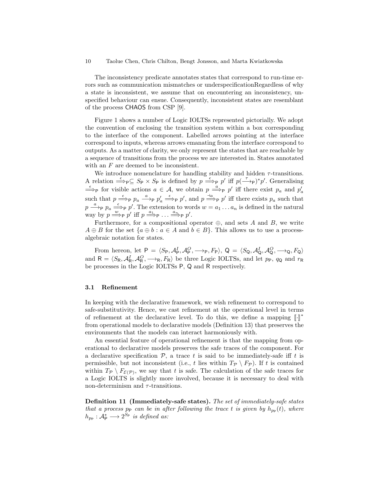The inconsistency predicate annotates states that correspond to run-time errors such as communication mismatches or underspecificationRegardless of why a state is inconsistent, we assume that on encountering an inconsistency, unspecified behaviour can ensue. Consequently, inconsistent states are resemblant of the process CHAOS from CSP [\[9\]](#page-21-8).

Figure [1](#page-13-0) shows a number of Logic IOLTSs represented pictorially. We adopt the convention of enclosing the transition system within a box corresponding to the interface of the component. Labelled arrows pointing at the interface correspond to inputs, whereas arrows emanating from the interface correspond to outputs. As a matter of clarity, we only represent the states that are reachable by a sequence of transitions from the process we are interested in. States annotated with an *F* are deemed to be inconsistent.

We introduce nomenclature for handling stability and hidden  $\tau$ -transitions. A relation  $\stackrel{\epsilon}{\Longrightarrow}_P \subseteq S_P \times S_P$  is defined by  $p \stackrel{\epsilon}{\Longrightarrow}_P p'$  iff  $p(\stackrel{\tau}{\longrightarrow}_P)^* p'$ A relation  $\stackrel{\epsilon}{\Longrightarrow}_P \subseteq S_P \times S_P$  is defined by  $p \stackrel{\epsilon}{\Longrightarrow}_P p'$  iff  $p(\stackrel{\rightarrow}{\longrightarrow}_P)^* p'$ . Generalising  $\stackrel{\epsilon}{\Longrightarrow}_P$  for visible actions  $a \in \mathcal{A}$ , we obtain  $p \stackrel{a}{\Longrightarrow}_P p'$  iff there exist  $p_a$  and  $p'_a$ such that  $p \stackrel{\epsilon}{\Longrightarrow} p p_a \stackrel{a}{\Longrightarrow} p p'_a \stackrel{\epsilon}{\Longrightarrow} p p'_a$  and  $p \stackrel{\dashv a}{\Longrightarrow} p'_a$  iff there exists  $p_a$  such that  $p \xrightarrow{a} p$  *p<sub>a</sub>*  $\underset{w}{\longrightarrow} p$  *p'*. The extension to words  $w = a_1 \dots a_n$  is defined in the natural way by  $p \stackrel{w}{\Longrightarrow}_P p'$  iff  $p \stackrel{a_1}{\Longrightarrow}_P \ldots \stackrel{a_n}{\Longrightarrow}_P p'$ .

Furthermore, for a compositional operator  $\oplus$ , and sets *A* and *B*, we write  $A \oplus B$  for the set  $\{a \oplus b : a \in A \text{ and } b \in B\}$ . This allows us to use a processalgebraic notation for states.

From hereon, let  $P = \langle S_P, A_P^I, A_P^O, \longrightarrow_P, F_P \rangle, Q = \langle S_Q, A_Q^I, A_Q^O, \longrightarrow_Q, F_Q \rangle$ and  $R = \langle S_R, A_R^I, A_R^O, \longrightarrow_R, F_R \rangle$  be three Logic IOLTSs, and let  $p_P$ ,  $q_Q$  and  $r_R$ be processes in the Logic IOLTSs P, Q and R respectively.

### 3.1 Refinement

In keeping with the declarative framework, we wish refinement to correspond to safe-substitutivity. Hence, we cast refinement at the operational level in terms of refinement at the declarative level. To do this, we define a mapping  $\llbracket \cdot \rrbracket^*$ from operational models to declarative models (Definition [13\)](#page-12-0) that preserves the environments that the models can interact harmoniously with.

An essential feature of operational refinement is that the mapping from operational to declarative models preserves the safe traces of the component. For a declarative specification  $P$ , a trace  $t$  is said to be immediately-safe iff  $t$  is permissible, but not inconsistent (i.e., *t* lies within  $T_p \setminus F_p$ ). If *t* is contained within  $T_P \setminus F_{\mathcal{E}(P)}$ , we say that *t* is safe. The calculation of the safe traces for a Logic IOLTS is slightly more involved, because it is necessary to deal with non-determinism and  $\tau$ -transitions.

<span id="page-11-0"></span>Definition 11 (Immediately-safe states). *The set of immediately-safe states that a process p<sub>P</sub> can be in after following the trace t is given by*  $h_{p}$  $(t)$ *, where*  $h_{p_{\mathsf{P}}} : \mathcal{A}_{\mathsf{P}}^* \longrightarrow 2^{S_{\mathsf{P}}}$  *is defined as:*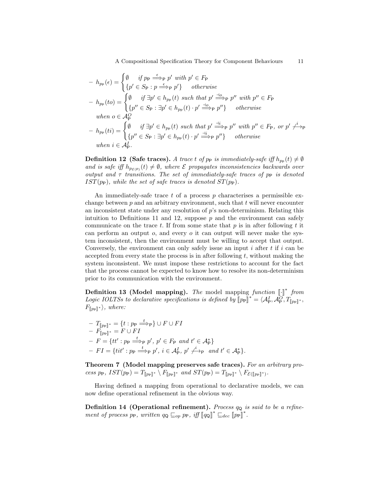A Compositional Specification Theory for Component Behaviours 11

$$
h_{p_{\mathsf{P}}}(\epsilon) = \begin{cases} \emptyset & \text{if } p_{\mathsf{P}} \Longrightarrow p' \text{ with } p' \in F_{\mathsf{P}} \\ \{p' \in S_{\mathsf{P}} : p \stackrel{\epsilon}{\Longrightarrow} p \text{ } p' \} & \text{otherwise} \end{cases}
$$
  
\n
$$
- h_{p_{\mathsf{P}}}(to) = \begin{cases} \emptyset & \text{if } \exists p' \in h_{p_{\mathsf{P}}}(t) \text{ such that } p' \stackrel{\exists o}{\Longrightarrow} p \text{ } w \text{ with } p'' \in F_{\mathsf{P}} \\ \{p'' \in S_{\mathsf{P}} : \exists p' \in h_{p_{\mathsf{P}}}(t) \cdot p' \stackrel{\exists o}{\Longrightarrow} p \text{ } p'' \} & \text{otherwise} \end{cases}
$$
  
\n
$$
- h_{p_{\mathsf{P}}}(ti) = \begin{cases} \emptyset & \text{if } \exists p' \in h_{p_{\mathsf{P}}}(t) \text{ such that } p' \stackrel{\exists i}{\Longrightarrow} p \text{ } w' \text{ with } p'' \in F_{\mathsf{P}}, \text{ or } p' \not\stackrel{i}{\Longrightarrow} \mathsf{P} \\ \{p'' \in S_{\mathsf{P}} : \exists p' \in h_{p_{\mathsf{P}}}(t) \cdot p' \stackrel{\exists i}{\Longrightarrow} p \text{ } p'' \} & \text{otherwise} \end{cases}
$$
  
\n
$$
when i \in A_{\mathsf{P}}^f.
$$

<span id="page-12-1"></span>**Definition 12** (Safe traces). A trace *t* of  $p_P$  is immediately-safe iff  $h_{p_P}(t) \neq \emptyset$ *and is safe iff*  $h_{p_{\mathcal{E}(P)}}(t) \neq \emptyset$ , where  $\mathcal E$  propagates inconsistencies backwards over *output and*  $\tau$  *transitions. The set of immediately-safe traces of*  $p_{\rm P}$  *is denoted IST*( $p$ **P**)*, while the set of safe traces is denoted*  $ST(p$ *P).* 

An immediately-safe trace *t* of a process *p* characterises a permissible exchange between *p* and an arbitrary environment, such that *t* will never encounter an inconsistent state under any resolution of *p*'s non-determinism. Relating this intuition to Definitions [11](#page-11-0) and [12,](#page-12-1) suppose  $p$  and the environment can safely communicate on the trace *t*. If from some state that *p* is in after following *t* it can perform an output *o*, and every *o* it can output will never make the system inconsistent, then the environment must be willing to accept that output. Conversely, the environment can only safely issue an input *i* after *t* if *i* can be accepted from every state the process is in after following *t*, without making the system inconsistent. We must impose these restrictions to account for the fact that the process cannot be expected to know how to resolve its non-determinism prior to its communication with the environment.

<span id="page-12-0"></span>**Definition 13 (Model mapping).** The model mapping function  $\begin{bmatrix} \cdot \end{bmatrix}^*$  from *Logic IOLTSs to declarative specifications is defined by*  $[\![p_P]\!]^* = \langle A_P^I, A_P^O, T_{[\![p_P]\!]^*},$  $F_{\llbracket p_{\mathsf{P}} \rrbracket^*}$ , where:

 $-T_{\llbracket p_{\mathsf{P}} \rrbracket^*} = \{t: p_{\mathsf{P}} \stackrel{t}{\Longrightarrow}_{\mathsf{P}}\} \cup F \cup FI$  $- F_{\llbracket p_{\mathsf{P}} \rrbracket^*} = F \cup FI$  $-F = \{tt' : pp \xrightarrow{t} p' , p' \in F_P \text{ and } t' \in A_P^*\}$  $-FI = \{tit': p_{\mathsf{P}} \Longrightarrow^t_{\mathsf{P}} p', i \in \mathcal{A}_{\mathsf{P}}^I, p' \not\stackrel{i}{\longrightarrow}_{\mathsf{P}} and t' \in \mathcal{A}_{\mathsf{P}}^*\}.$ 

<span id="page-12-3"></span>Theorem 7 (Model mapping preserves safe traces). *For an arbitrary process*  $p_P$ ,  $IST(p_P) = T_{\llbracket pp \rrbracket^*} \setminus F_{\llbracket pp \rrbracket^*}$  *and*  $ST(p_P) = T_{\llbracket pp \rrbracket^*} \setminus F_{\llbracket (p_P \rrbracket^*)}$ .

Having defined a mapping from operational to declarative models, we can now define operational refinement in the obvious way.

<span id="page-12-2"></span>Definition 14 (Operational refinement). *Process q*<sup>Q</sup> *is said to be a refinement of process*  $p_P$ , written  $q_Q \sqsubseteq_{op} p_P$ , iff  $[q_Q]^* \sqsubseteq_{dec} [p_P]^*.$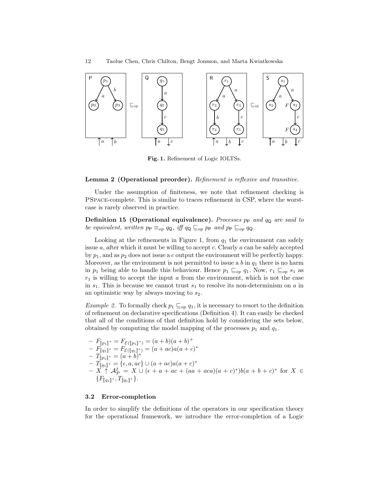

<span id="page-13-0"></span>Fig. 1. Refinement of Logic IOLTSs.

## Lemma 2 (Operational preorder). *Refinement is reflexive and transitive.*

Under the assumption of finiteness, we note that refinement checking is PSpace-complete. This is similar to traces refinement in CSP, where the worstcase is rarely observed in practice.

Definition 15 (Operational equivalence). *Processes*  $p_P$  and  $q_Q$  are said to *be equivalent, written*  $p_P \equiv_{op} q_Q$ , iff  $q_Q \sqsubseteq_{op} p_P$  and  $p_P \sqsubseteq_{op} q_Q$ .

Looking at the refinements in Figure [1,](#page-13-0) from  $q_1$  the environment can safely issue *a*, after which it must be willing to accept *c*. Clearly *a* can be safely accepted by  $p_1$ , and as  $p_2$  does not issue a *c* output the environment will be perfectly happy. Moreover, as the environment is not permitted to issue a  $b$  in  $q_1$  there is no harm in  $p_1$  being able to handle this behaviour. Hence  $p_1 \sqsubseteq_{op} q_1$ . Now,  $r_1 \sqsubseteq_{op} s_1$  as *r*<sup>1</sup> is willing to accept the input *a* from the environment, which is not the case in  $s_1$ . This is because we cannot trust  $s_1$  to resolve its non-determinism on  $a$  in an optimistic way by always moving to *s*2.

*Example 2.* To formally check  $p_1 \subseteq_{op} q_1$ , it is necessary to resort to the definition of refinement on declarative specifications (Definition [4\)](#page-6-0). It can easily be checked that all of the conditions of that definition hold by considering the sets below, obtained by computing the model mapping of the processes  $p_1$  and  $q_1$ .

- 
$$
F_{[p_1]^*}
$$
 =  $F_{\mathcal{E}([p_1]^*)}$  =  $(a + b)(a + b)^+$   
\n-  $F_{[q_1]^*}$  =  $F_{\mathcal{E}([q_1]^*)}$  =  $(a + ac)a(a + c)^*$   
\n-  $T_{[p_1]^*}$  =  $(a + b)^*$   
\n-  $T_{[q_1]^*}$  =  $\{\epsilon, a, ac\} \cup (a + ac)a(a + c)^*$   
\n-  $X \uparrow \mathcal{A}_p^L$  =  $X \cup (\epsilon + a + ac + (aa + aca)(a + c)^*)b(a + b + c)^*$  for  $X \in$   
\n $\{F_{[q_1]^*}, T_{[q_1]^*}\}.$ 

#### 3.2 Error-completion

In order to simplify the definitions of the operators in our specification theory for the operational framework, we introduce the error-completion of a Logic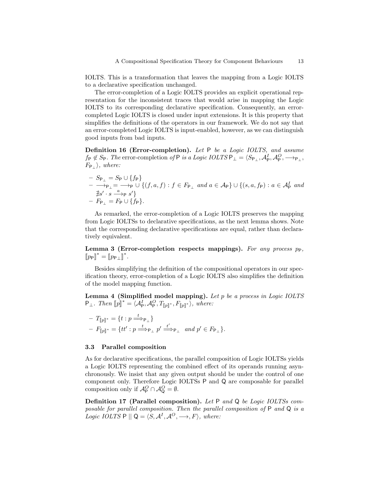IOLTS. This is a transformation that leaves the mapping from a Logic IOLTS to a declarative specification unchanged.

The error-completion of a Logic IOLTS provides an explicit operational representation for the inconsistent traces that would arise in mapping the Logic IOLTS to its corresponding declarative specification. Consequently, an errorcompleted Logic IOLTS is closed under input extensions. It is this property that simplifies the definitions of the operators in our framework. We do not say that an error-completed Logic IOLTS is input-enabled, however, as we can distinguish good inputs from bad inputs.

Definition 16 (Error-completion). *Let* P *be a Logic IOLTS, and assume*  $f_P \notin S_P$ *. The* error-completion *of*  $P$  *is a Logic IOLTS*  $P_\perp = \langle S_{P_\perp}, \mathcal{A}_P^I, \mathcal{A}_P^O, \longrightarrow_{P_\perp},$  $F_{\mathsf{P}_\perp}$ , where:

 $- S_{P_{\perp}} = S_{P} \cup \{f_{P}\}$  $\longrightarrow_{\mathsf{P}_{\perp}} = \longrightarrow_{\mathsf{P}} \cup \{ (f, a, f) : f \in F_{\mathsf{P}_{\perp}} \text{ and } a \in \mathcal{A}_{\mathsf{P}} \} \cup \{ (s, a, f_{\mathsf{P}}) : a \in \mathcal{A}_{\mathsf{P}}^{\mathcal{I}} \text{ and } a \in \mathcal{A}_{\mathsf{P}} \}$  $\frac{1}{\sqrt{2}}s' \cdot \overline{s} \stackrel{a}{\longrightarrow} p s'$  $- F_{P_+} = F_P \cup \{f_P\}.$ 

As remarked, the error-completion of a Logic IOLTS preserves the mapping from Logic IOLTSs to declarative specifications, as the next lemma shows. Note that the corresponding declarative specifications are equal, rather than declaratively equivalent.

<span id="page-14-0"></span>Lemma 3 (Error-completion respects mappings). For any process  $p_P$ ,  $[\![p_{\mathsf{P}}]\!]^* = [\![p_{\mathsf{P}_\perp}]\!]^*.$ 

Besides simplifying the definition of the compositional operators in our specification theory, error-completion of a Logic IOLTS also simplifies the definition of the model mapping function.

<span id="page-14-1"></span>Lemma 4 (Simplified model mapping). *Let p be a process in Logic IOLTS*  $P_{\perp}$ . Then  $[\![p]\!]^* = \langle A_P^I, A_P^O, T_{[\![p]\!]}^*, F_{[\![p]\!]}^* \rangle$ , where:

 $-T_{\llbracket p \rrbracket^*} = \{t : p \Longrightarrow^{\mathbf{t}}_{\mathbf{P}_{\perp}}\}$  $-F_{[p]}^* = \{tt' : p \Longrightarrow_{P_{\perp}} p' \Longrightarrow_{P_{\perp}} and p' \in F_{P_{\perp}}\}.$ 

# 3.3 Parallel composition

As for declarative specifications, the parallel composition of Logic IOLTSs yields a Logic IOLTS representing the combined effect of its operands running asynchronously. We insist that any given output should be under the control of one component only. Therefore Logic IOLTSs P and Q are composable for parallel composition only if  $\mathcal{A}_{\mathsf{P}}^O \cap \mathcal{A}_{\mathsf{Q}}^O = \emptyset$ .

Definition 17 (Parallel composition). *Let* P *and* Q *be Logic IOLTSs composable for parallel composition. Then the parallel composition of* P *and* Q *is a Logic IOLTS*  $P \parallel Q = \langle S, A^I, A^O, \longrightarrow, F \rangle$ *, where:*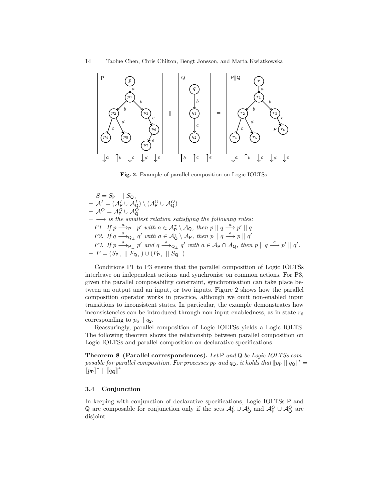

<span id="page-15-0"></span>Fig. 2. Example of parallel composition on Logic IOLTSs.

$$
- S = S_{P_{\perp}} || S_{Q_{\perp}} - A^{I} = (A_{P}^{I} \cup A_{Q}^{I}) \setminus (A_{P}^{O} \cup A_{Q}^{O}) - A^{O} = A_{P}^{O} \cup A_{Q}^{O} - \rightarrow \text{ is the smallest relation satisfying the following rules:}
$$
  
\n
$$
P1. \text{ If } p \xrightarrow{a} p_{\perp} p' \text{ with } a \in A_{P}^{T} \setminus A_{Q}, \text{ then } p || q \xrightarrow{a} p' || q P2. \text{ If } q \xrightarrow{a} q_{\perp} q' \text{ with } a \in A_{Q}^{T} \setminus A_{P}, \text{ then } p || q \xrightarrow{a} p || q' P3. \text{ If } p \xrightarrow{a} p_{\perp} p' \text{ and } q \xrightarrow{a} q_{\perp} q' \text{ with } a \in A_{P} \cap A_{Q}, \text{ then } p || q \xrightarrow{a} p' || q' - F = (S_{P_{\perp}} || F_{Q_{\perp}}) \cup (F_{P_{\perp}} || S_{Q_{\perp}}).
$$

Conditions P1 to P3 ensure that the parallel composition of Logic IOLTSs interleave on independent actions and synchronise on common actions. For P3, given the parallel composability constraint, synchronisation can take place between an output and an input, or two inputs. Figure [2](#page-15-0) shows how the parallel composition operator works in practice, although we omit non-enabled input transitions to inconsistent states. In particular, the example demonstrates how inconsistencies can be introduced through non-input enabledness, as in state  $r_6$ corresponding to  $p_6 \parallel q_2$ .

Reassuringly, parallel composition of Logic IOLTSs yields a Logic IOLTS. The following theorem shows the relationship between parallel composition on Logic IOLTSs and parallel composition on declarative specifications.

<span id="page-15-1"></span>Theorem 8 (Parallel correspondences). *Let* P *and* Q *be Logic IOLTSs composable for parallel composition. For processes*  $p_P$  *and*  $q_Q$ *, it holds that*  $[\![p_P \mid ||\; q_Q]\!]^* =$  $[[p_P]]^* \mid [q_Q]^*.$ 

#### 3.4 Conjunction

In keeping with conjunction of declarative specifications, Logic IOLTSs P and Q are composable for conjunction only if the sets  $A_P^I \cup A_Q^I$  and  $A_P^O \cup A_Q^O$  are disjoint.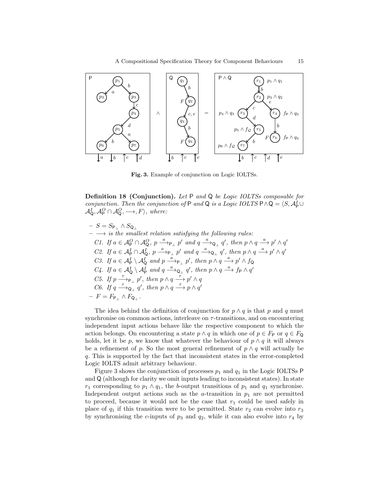

<span id="page-16-0"></span>Fig. 3. Example of conjunction on Logic IOLTSs.

Definition 18 (Conjunction). *Let* P *and* Q *be Logic IOLTSs composable for conjunction. Then the conjunction of*  $P$  *and*  $Q$  *is a Logic IOLTS*  $P \wedge Q = \langle S, A_P^I \cup A_P^I \rangle$  $\mathcal{A}_{\mathsf{Q}}^I, \mathcal{A}_{\mathsf{P}}^O \cap \mathcal{A}_{\mathsf{Q}}^O, \longrightarrow, F \rangle$ , where:

 $-S = S_{\mathsf{P}_1} \wedge S_{\mathsf{Q}_1}$  $- \longrightarrow$  *is the smallest relation satisfying the following rules: C1. If*  $a \in A_P^O \cap A_Q^O$ ,  $p \xrightarrow{a}_{P_\perp} p'$  and  $q \xrightarrow{a}_{Q_\perp} q'$ , then  $p \wedge q \xrightarrow{a}_{P} p' \wedge q'$ *C2. If*  $a \in A_P^I \cap A_Q^I$ ,  $p \xrightarrow{a}_{P_\perp} p'$  and  $q \xrightarrow{a}_{Q_\perp} q'$ , then  $p \wedge q \xrightarrow{a}_{P} p' \wedge q'$ *C3. If*  $a \in A_P^I \setminus A_Q^I$  and  $p \xrightarrow{a}_{P_\perp} p'$ , then  $p \wedge q \xrightarrow{a} p' \wedge f_Q$ *C4. If*  $a \in A_Q^I \setminus A_P^I$  and  $q \xrightarrow{a}_{Q_\perp} q'$ , then  $p \wedge q \xrightarrow{a} f_P \wedge q'$ *C5. If*  $p \xrightarrow{\tau} p_{\perp} p'$ , then  $p \wedge q \xrightarrow{\tau} p' \wedge q$ *C6.* If  $q \rightarrow \overline{Q}_\perp q'$ , then  $p \wedge q \rightarrow \overline{Q}$  $- F = F_{P_+} \wedge F_{Q_+}.$ 

The idea behind the definition of conjunction for  $p \wedge q$  is that p and q must synchronise on common actions, interleave on  $\tau$ -transitions, and on encountering independent input actions behave like the respective component to which the action belongs. On encountering a state  $p \wedge q$  in which one of  $p \in F_P$  or  $q \in F_Q$ holds, let it be *p*, we know that whatever the behaviour of  $p \wedge q$  it will always be a refinement of *p*. So the most general refinement of  $p \wedge q$  will actually be *q*. This is supported by the fact that inconsistent states in the error-completed Logic IOLTS admit arbitrary behaviour.

Figure [3](#page-16-0) shows the conjunction of processes  $p_1$  and  $q_1$  in the Logic IOLTSs P and Q (although for clarity we omit inputs leading to inconsistent states). In state  $r_1$  corresponding to  $p_1 \wedge q_1$ , the *b*-output transitions of  $p_1$  and  $q_1$  synchronise. Independent output actions such as the *a*-transition in  $p_1$  are not permitted to proceed, because it would not be the case that  $r_1$  could be used safely in place of  $q_1$  if this transition were to be permitted. State  $r_2$  can evolve into  $r_3$ by synchronising the *c*-inputs of  $p_3$  and  $q_2$ , while it can also evolve into  $r_4$  by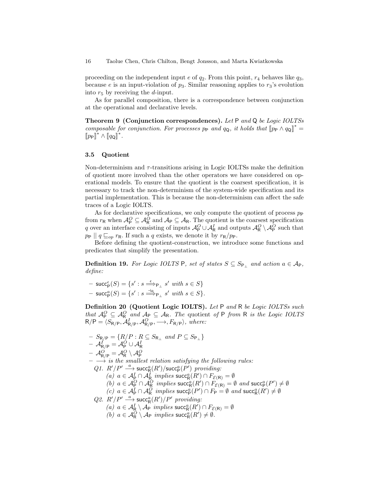proceeding on the independent input *e* of *q*2. From this point, *r*<sup>4</sup> behaves like *q*3, because  $e$  is an input-violation of  $p_3$ . Similar reasoning applies to  $r_3$ 's evolution into *r*<sup>5</sup> by receiving the *d*-input.

As for parallel composition, there is a correspondence between conjunction at the operational and declarative levels.

<span id="page-17-1"></span>Theorem 9 (Conjunction correspondences). *Let* P *and* Q *be Logic IOLTSs composable for conjunction. For processes*  $p_P$  *and*  $q_Q$ *, it holds that*  $[\![p_P \wedge q_Q]\!]^* = [\![\mathbb{R}^* \wedge \mathbb{R} \times \mathbb{R}^* \times \mathbb{R}^*]$  $[\![p_{\mathsf{P}}]\!]^* \wedge [\![q_{\mathsf{Q}}]\!]^*.$ 

#### 3.5 Quotient

Non-determinism and  $\tau$ -transitions arising in Logic IOLTSs make the definition of quotient more involved than the other operators we have considered on operational models. To ensure that the quotient is the coarsest specification, it is necessary to track the non-determinism of the system-wide specification and its partial implementation. This is because the non-determinism can affect the safe traces of a Logic IOLTS.

As for declarative specifications, we only compute the quotient of process  $p_{\rm P}$ from  $r_R$  when  $A_P^O \subseteq A_R^O$  and  $A_P \subseteq A_R$ . The quotient is the coarsest specification *q* over an interface consisting of inputs  $A_P^O \cup A_R^I$  and outputs  $A_R^O \setminus A_P^O$  such that  $p_P$  *|| q*  $\sqsubseteq_{op} r_R$ . If such a *q* exists, we denote it by  $r_R/p_P$ .

Before defining the quotient-construction, we introduce some functions and predicates that simplify the presentation.

**Definition 19.** For Logic IOLTS P, set of states  $S \subseteq S_{P_{\perp}}$  and action  $a \in A_P$ , *define:*

 $-$  succ $\mathcal{E}_{\mathsf{P}}(S) = \{s' : s \stackrel{\epsilon}{\Longrightarrow}_{\mathsf{P}_{\perp}} s' \text{ with } s \in S\}$  $-$  succ<sub>P</sub></sup> $(S) = \{s' : s \stackrel{\dashv a}{\Longrightarrow}_{\mathsf{P}_\perp} s' \text{ with } s \in S\}.$ 

<span id="page-17-0"></span>Definition 20 (Quotient Logic IOLTS). *Let* P *and* R *be Logic IOLTSs such that*  $\mathcal{A}_{\mathsf{P}}^O \subseteq \mathcal{A}_{\mathsf{R}}^O$  *and*  $\mathcal{A}_{\mathsf{P}} \subseteq \mathcal{A}_{\mathsf{R}}$ *. The* quotient *of*  $\mathsf{P}$  *from*  $\mathsf{R}$  *is the Logic IOLTS*  $R/P = \langle S_{R/P}, A_{R/P}^I, A_{R/P}^O, \longrightarrow, F_{R/P} \rangle$ , where:

 $-S_{\mathsf{R}/\mathsf{P}} = \{R/P : R \subseteq S_{\mathsf{R}_{\perp}} \text{ and } P \subseteq S_{\mathsf{P}_{\perp}}\}$  $\mathcal{A}_{\mathsf{R}/\mathsf{P}}^{I} = \mathcal{A}_{\mathsf{P}}^{O} \cup \mathcal{A}_{\mathsf{R}}^{I}$  $-A_{\mathsf{R}/\mathsf{P}}^O = A_{\mathsf{R}}^O \setminus A_{\mathsf{P}}^O$ <br>-  $\longrightarrow$  *is the smallest relation satisfying the following rules: Q1.*  $R'/P' \stackrel{a}{\longrightarrow}$  succ<sub>R</sub> $(R')$ /succ<sub>P</sub> $(P')$  providing:  $(a)$   $a \in A_P^I \cap A_R^I$  *implies* succ<sub>R</sub> $(R') \cap F_{E(R)} = \emptyset$ *(b)*  $a \in \mathcal{A}_{\mathsf{P}}^{\mathcal{O}} \cap \mathcal{A}_{\mathsf{R}}^{\mathcal{O}}$  *implies*  $\mathsf{succ}_{\mathsf{R}}^{\mathcal{a}}(R') \cap F_{\mathcal{E}(\mathsf{R})} = \emptyset$  *and*  $\mathsf{succ}_{\mathsf{P}}^{\mathcal{a}}(P') \neq \emptyset$ (c)  $a \in A_P^I \cap A_R^O$  *implies* succ<sub>p</sub><sup>*(P')*</sup>  $\cap F_P = \emptyset$  *and* succ<sub>p</sub><sup>*a*</sup>(*R')*  $\neq \emptyset$ *Q2.*  $R'/P' \xrightarrow{a} \textsf{succ}_R^a(R')/P'$  providing:  $(a)$   $a \in A_R^I \setminus A_P$  *implies* succ<sub>*R*</sub> $(R') \cap F_{\mathcal{E}(R)} = \emptyset$ *(b)*  $a \in \mathcal{A}_{\mathsf{R}}^O \setminus \mathcal{A}_{\mathsf{P}}$  *implies*  $succ_{\mathsf{R}}^{\alpha}(R') \neq \emptyset$ *.*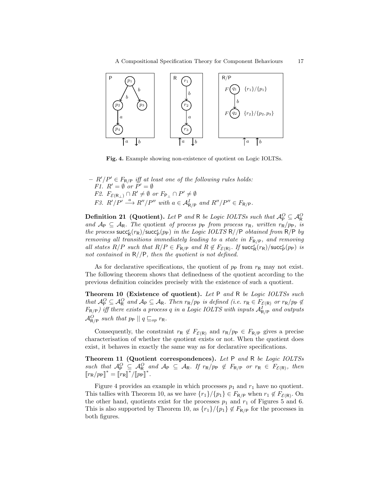

<span id="page-18-0"></span>Fig. 4. Example showing non-existence of quotient on Logic IOLTSs.

<span id="page-18-4"></span><span id="page-18-3"></span> $-R'/P' \in F_{R/P}$  *iff at least one of the following rules holds: F1.*  $R' = \emptyset$  or  $P' = \emptyset$ *F2.*  $F_{\mathcal{E}(\mathsf{R}_{\perp})} \cap R' \neq \emptyset$  or  $F_{\mathsf{P}_{\perp}} \cap P' \neq \emptyset$ *F3.*  $R'/P' \stackrel{a}{\longrightarrow} R''/P''$  *with*  $a \in \mathcal{A}_{R/P}^I$  *and*  $R''/P'' \in F_{R/P}$ *.* 

<span id="page-18-5"></span>**Definition 21 (Quotient).** Let P and R be Logic IOLTSs such that  $\mathcal{A}_{\mathsf{P}}^O \subseteq \mathcal{A}_{\mathsf{R}}^O$ *and*  $A_P \subseteq A_R$ *. The* quotient *of process p<sub>P</sub></sub> from process*  $r_R$ *, written*  $r_R/p_P$ *, is*  $\frac{1}{2}$  *the process* succ<sup> $\epsilon$ </sup><sub>R</sub> $(r_R)$ /succ<sup> $\epsilon$ </sup> $(p_P)$  *in the Logic IOLTS* R//P *obtained from* R/P *by removing all transitions immediately leading to a state in F*<sup>R</sup>*/*<sup>P</sup>*, and removing all states*  $R/P$  *such that*  $R/P \in F_{R/P}$  *and*  $R \notin F_{\mathcal{E}(R)}$ *. If*  $\text{succ}_R^{\epsilon}(r_R)/\text{succ}_P^{\epsilon}(p_P)$  *is not contained in* R*//*P*, then the quotient is not defined.*

As for declarative specifications, the quotient of  $p_P$  from  $r_R$  may not exist. The following theorem shows that definedness of the quotient according to the previous definition coincides precisely with the existence of such a quotient.

<span id="page-18-1"></span>Theorem 10 (Existence of quotient). *Let* P *and* R *be Logic IOLTSs such that*  $\mathcal{A}_{\mathsf{P}}^{\mathcal{O}} \subseteq \mathcal{A}_{\mathsf{R}}^{\mathcal{O}}$  *and*  $\mathcal{A}_{\mathsf{P}} \subseteq \mathcal{A}_{\mathsf{R}}$ *. Then*  $r_{\mathsf{R}}/p_{\mathsf{P}}$  *is defined (i.e.*  $r_{\mathsf{R}} \in F_{\mathcal{E}(\mathsf{R})}$  *or*  $r_{\mathsf{R}}/p_{\mathsf{P}} \notin$  $F_{\mathsf{R}/\mathsf{P}}$ ) iff there exists a process *q* in a Logic IOLTS with inputs  $\mathcal{A}_{\mathsf{R}/\mathsf{P}}^I$  and outputs  $\mathcal{A}_{\mathsf{R}/\mathsf{P}}^O$  *such that*  $p_{\mathsf{P}}$  ||  $q \sqsubseteq_{op} r_{\mathsf{R}}$ *.* 

Consequently, the constraint  $r_R \notin F_{\mathcal{E}(R)}$  and  $r_R/p_P \in F_{R/P}$  gives a precise characterisation of whether the quotient exists or not. When the quotient does exist, it behaves in exactly the same way as for declarative specifications.

<span id="page-18-2"></span>Theorem 11 (Quotient correspondences). *Let* P *and* R *be Logic IOLTSs*  $\sup_{\mathbf{z}} \mathbf{z} \leq \sup_{\mathbf{z}} \mathbf{z} \leq \sup_{\mathbf{z}} \sup_{\mathbf{z}} \mathbf{z} \leq \mathbf{z} \leq \mathbf{z} \mathbf{z} \leq \mathbf{z} \mathbf{z}$  *A*<sub>R</sub>. If  $r_{\mathbf{R}}/p_{\mathbf{P}} \notin F_{\mathbf{R}/p}$  *or*  $r_{\mathbf{R}} \in F_{\mathcal{E}(\mathbf{R})}$ *, then*  $[r_R/p_P]^* = [r_R]^*/[p_P]^*.$ 

Figure [4](#page-18-0) provides an example in which processes  $p_1$  and  $r_1$  have no quotient. This tallies with Theorem [10,](#page-18-1) as we have  $\{r_1\}/\{p_1\} \in F_{R/P}$  when  $r_1 \notin F_{\mathcal{E}(R)}$ . On the other hand, quotients exist for the processes  $p_1$  and  $r_1$  of Figures [5](#page-19-1) and [6.](#page-19-2) This is also supported by Theorem [10,](#page-18-1) as  $\{r_1\}/\{p_1\} \notin F_{R/P}$  for the processes in both figures.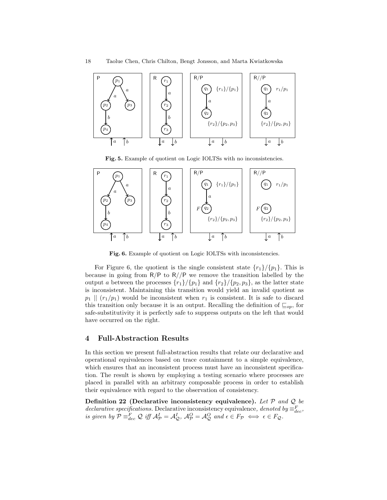

<span id="page-19-1"></span>Fig. 5. Example of quotient on Logic IOLTSs with no inconsistencies.



<span id="page-19-2"></span>Fig. 6. Example of quotient on Logic IOLTSs with inconsistencies.

For Figure [6,](#page-19-2) the quotient is the single consistent state  $\{r_1\}/\{p_1\}$ . This is because in going from R*/*P to R*//*P we remove the transition labelled by the output *a* between the processes  $\{r_1\}/\{p_1\}$  and  $\{r_2\}/\{p_2, p_3\}$ , as the latter state is inconsistent. Maintaining this transition would yield an invalid quotient as  $p_1$  ||  $(r_1/p_1)$  would be inconsistent when  $r_1$  is consistent. It is safe to discard this transition only because it is an output. Recalling the definition of  $\mathcal{L}_{op}$ , for safe-substitutivity it is perfectly safe to suppress outputs on the left that would have occurred on the right.

# <span id="page-19-0"></span>4 Full-Abstraction Results

In this section we present full-abstraction results that relate our declarative and operational equivalences based on trace containment to a simple equivalence, which ensures that an inconsistent process must have an inconsistent specification. The result is shown by employing a testing scenario where processes are placed in parallel with an arbitrary composable process in order to establish their equivalence with regard to the observation of consistency.

Definition 22 (Declarative inconsistency equivalence). *Let P and Q be declarative specifications.* Declarative inconsistency equivalence, denoted by  $\equiv_{dec}^F$ , is given by  $P \equiv_{dec}^F Q$  iff  $A_P^I = A_Q^I$ ,  $A_P^O = A_Q^O$  and  $\epsilon \in F_P \iff \epsilon \in F_Q$ .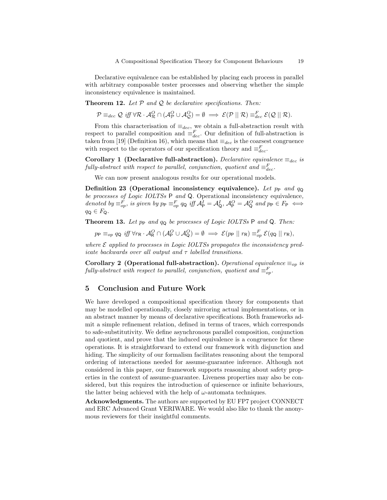Declarative equivalence can be established by placing each process in parallel with arbitrary composable tester processes and observing whether the simple inconsistency equivalence is maintained.

<span id="page-20-0"></span>Theorem 12. *Let P and Q be declarative specifications. Then:*

$$
\mathcal{P} \equiv_{dec} \mathcal{Q} \text{ iff } \forall \mathcal{R} \cdot \mathcal{A}_{\mathcal{R}}^{\mathcal{Q}} \cap (\mathcal{A}_{\mathcal{P}}^{\mathcal{Q}} \cup \mathcal{A}_{\mathcal{Q}}^{\mathcal{Q}}) = \emptyset \implies \mathcal{E}(\mathcal{P} \mid \mathcal{R}) \equiv_{dec}^{F} \mathcal{E}(\mathcal{Q} \mid \mathcal{R}).
$$

From this characterisation of  $\equiv_{dec}$ , we obtain a full-abstraction result with respect to parallel composition and  $\equiv_{dec}^F$ . Our definition of full-abstraction is taken from [\[19\]](#page-21-18) (Definition 16), which means that  $\equiv_{dec}$  is the coarsest congruence with respect to the operators of our specification theory and  $\equiv_{dec}^F$ .

<span id="page-20-1"></span>Corollary 1 (Declarative full-abstraction). *Declarative equivalence*  $\equiv_{dec}$  *is fully-abstract with respect to parallel, conjunction, quotient and*  $\equiv_{dec}^F$ .

We can now present analogous results for our operational models.

Definition 23 (Operational inconsistency equivalence). Let  $p_P$  and  $q_Q$ *be processes of Logic IOLTSs* P *and* Q*.* Operational inconsistency equivalence*,* denoted by  $\equiv_{op}^F$ , is given by  $p_P \equiv_{op}^F q_Q$  iff  $\mathcal{A}_P^I = \mathcal{A}_Q^I$ ,  $\mathcal{A}_P^O = \mathcal{A}_Q^O$  and  $p_P \in F_P \iff$  $q_{\mathsf{Q}} \in F_{\mathsf{Q}}$ .

<span id="page-20-2"></span>Theorem 13. *Let p*<sup>P</sup> *and q*<sup>Q</sup> *be processes of Logic IOLTSs* P *and* Q*. Then:*

 $p_{\mathsf{P}} \equiv_{op} q_{\mathsf{Q}} \; \mathit{iff} \; \forall r_{\mathsf{R}} \cdot \mathcal{A}_{\mathsf{R}}^O \cap (\mathcal{A}_{\mathsf{P}}^O \cup \mathcal{A}_{\mathsf{Q}}^O) = \emptyset \implies \mathcal{E}(p_{\mathsf{P}} \mid \mid r_{\mathsf{R}}) \equiv_{op}^F \mathcal{E}(q_{\mathsf{Q}} \mid \mid r_{\mathsf{R}}),$ 

where  $\mathcal E$  applied to processes in Logic IOLTSs propagates the inconsistency pred*icate backwards over all output and*  $\tau$  *labelled transitions.* 

<span id="page-20-3"></span>Corollary 2 (Operational full-abstraction). *Operational equivalence*  $\equiv_{op}$  *is fully-abstract with respect to parallel, conjunction, quotient and*  $\equiv_{op}^F$ .

# 5 Conclusion and Future Work

We have developed a compositional specification theory for components that may be modelled operationally, closely mirroring actual implementations, or in an abstract manner by means of declarative specifications. Both frameworks admit a simple refinement relation, defined in terms of traces, which corresponds to safe-substitutivity. We define asynchronous parallel composition, conjunction and quotient, and prove that the induced equivalence is a congruence for these operations. It is straightforward to extend our framework with disjunction and hiding. The simplicity of our formalism facilitates reasoning about the temporal ordering of interactions needed for assume-guarantee inference. Although not considered in this paper, our framework supports reasoning about safety properties in the context of assume-guarantee. Liveness properties may also be considered, but this requires the introduction of quiescence or infinite behaviours, the latter being achieved with the help of  $\omega$ -automata techniques.

Acknowledgments. The authors are supported by EU FP7 project CONNECT and ERC Advanced Grant VERIWARE. We would also like to thank the anonymous reviewers for their insightful comments.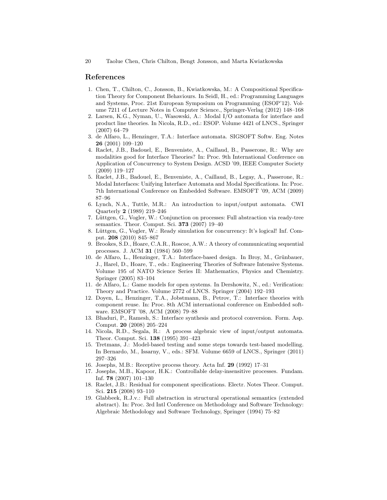# References

- <span id="page-21-0"></span>1. Chen, T., Chilton, C., Jonsson, B., Kwiatkowska, M.: A Compositional Specification Theory for Component Behaviours. In Seidl, H., ed.: Programming Languages and Systems, Proc. 21st European Symposium on Programming (ESOP'12). Volume 7211 of Lecture Notes in Computer Science., Springer-Verlag (2012) 148–168
- <span id="page-21-1"></span>2. Larsen, K.G., Nyman, U., Wasowski, A.: Modal I/O automata for interface and product line theories. In Nicola, R.D., ed.: ESOP. Volume 4421 of LNCS., Springer (2007) 64–79
- <span id="page-21-2"></span>3. de Alfaro, L., Henzinger, T.A.: Interface automata. SIGSOFT Softw. Eng. Notes 26 (2001) 109–120
- <span id="page-21-3"></span>4. Raclet, J.B., Badouel, E., Benveniste, A., Caillaud, B., Passerone, R.: Why are modalities good for Interface Theories? In: Proc. 9th International Conference on Application of Concurrency to System Design. ACSD '09, IEEE Computer Society (2009) 119–127
- <span id="page-21-4"></span>5. Raclet, J.B., Badouel, E., Benveniste, A., Caillaud, B., Legay, A., Passerone, R.: Modal Interfaces: Unifying Interface Automata and Modal Specifications. In: Proc. 7th International Conference on Embedded Software. EMSOFT '09, ACM (2009) 87–96
- <span id="page-21-5"></span>6. Lynch, N.A., Tuttle, M.R.: An introduction to input/output automata. CWI Quarterly 2 (1989) 219–246
- <span id="page-21-6"></span>7. Lüttgen, G., Vogler, W.: Conjunction on processes: Full abstraction via ready-tree semantics. Theor. Comput. Sci. 373 (2007) 19–40
- <span id="page-21-7"></span>8. Lüttgen, G., Vogler, W.: Ready simulation for concurrency: It's logical! Inf. Comput. 208 (2010) 845–867
- <span id="page-21-8"></span>9. Brookes, S.D., Hoare, C.A.R., Roscoe, A.W.: A theory of communicating sequential processes. J. ACM 31 (1984) 560–599
- <span id="page-21-9"></span>10. de Alfaro, L., Henzinger, T.A.: Interface-based design. In Broy, M., Grünbauer, J., Harel, D., Hoare, T., eds.: Engineering Theories of Software Intensive Systems. Volume 195 of NATO Science Series II: Mathematics, Physics and Chemistry. Springer (2005) 83–104
- <span id="page-21-10"></span>11. de Alfaro, L.: Game models for open systems. In Dershowitz, N., ed.: Verification: Theory and Practice. Volume 2772 of LNCS. Springer (2004) 192–193
- <span id="page-21-11"></span>12. Doyen, L., Henzinger, T.A., Jobstmann, B., Petrov, T.: Interface theories with component reuse. In: Proc. 8th ACM international conference on Embedded software. EMSOFT '08, ACM (2008) 79–88
- <span id="page-21-12"></span>13. Bhaduri, P., Ramesh, S.: Interface synthesis and protocol conversion. Form. Asp. Comput. 20 (2008) 205–224
- <span id="page-21-13"></span>14. Nicola, R.D., Segala, R.: A process algebraic view of input/output automata. Theor. Comput. Sci. 138 (1995) 391–423
- <span id="page-21-14"></span>15. Tretmans, J.: Model-based testing and some steps towards test-based modelling. In Bernardo, M., Issarny, V., eds.: SFM. Volume 6659 of LNCS., Springer (2011) 297–326
- <span id="page-21-15"></span>16. Josephs, M.B.: Receptive process theory. Acta Inf. 29 (1992) 17–31
- <span id="page-21-16"></span>17. Josephs, M.B., Kapoor, H.K.: Controllable delay-insensitive processes. Fundam. Inf. 78 (2007) 101–130
- <span id="page-21-17"></span>18. Raclet, J.B.: Residual for component specifications. Electr. Notes Theor. Comput. Sci. 215 (2008) 93–110
- <span id="page-21-18"></span>19. Glabbeek, R.J.v.: Full abstraction in structural operational semantics (extended abstract). In: Proc. 3rd Intl Conference on Methodology and Software Technology: Algebraic Methodology and Software Technology, Springer (1994) 75–82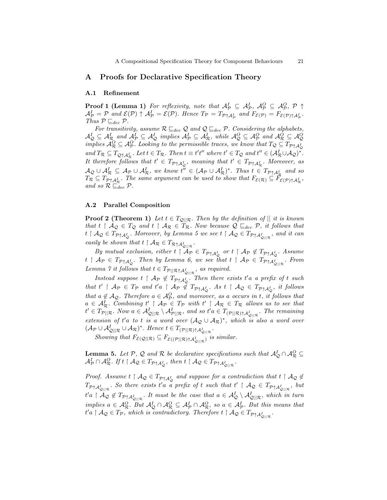# A Proofs for Declarative Specification Theory

#### A.1 Refinement

**Proof 1 (Lemma [1\)](#page-7-0)** For reflexivity, note that  $A^I_p \subseteq A^I_p$ ,  $A^O_p \subseteq A^O_p$ ,  $P \uparrow$  $\mathcal{A}_{\mathcal{P}}^I = \mathcal{P}$  and  $\mathcal{E}(\mathcal{P}) \uparrow \mathcal{A}_{\mathcal{P}}^I = \mathcal{E}(\mathcal{P})$ . Hence  $T_{\mathcal{P}} = T_{\mathcal{P} \uparrow \mathcal{A}_{\mathcal{P}}^I}$  and  $F_{\mathcal{E}(\mathcal{P})} = F_{\mathcal{E}(\mathcal{P}) \uparrow \mathcal{A}_{\mathcal{P}}^I}$ . *Thus*  $P \sqsubseteq_{dec} P$ *.* 

*For transitivity, assume*  $\mathcal{R} \sqsubseteq_{dec} \mathcal{Q}$  *and*  $\mathcal{Q} \sqsubseteq_{dec} \mathcal{P}$ *. Considering the alphabets,*  $A_{\mathcal{Q}}^I \subseteq A_{\mathcal{R}}^I$  and  $A_{\mathcal{P}}^I \subseteq A_{\mathcal{Q}}^I$  implies  $A_{\mathcal{P}}^I \subseteq A_{\mathcal{R}}^I$ , while  $A_{\mathcal{Q}}^O \subseteq A_{\mathcal{P}}^O$  and  $A_{\mathcal{R}}^O \subseteq A_{\mathcal{Q}}^O$ *i*  $Q \subseteq A_p^O$ . Looking to the permissible traces, we know that  $T_Q \subseteq T_{P \uparrow A_q^O}$ and  $T_{\mathcal{R}} \subseteq T_{\mathcal{Q} \uparrow \mathcal{A}_{\mathcal{R}}^I}$ . Let  $t \in T_{\mathcal{R}}$ . Then  $t \equiv t't''$  where  $t' \in T_{\mathcal{Q}}$  and  $t'' \in (\mathcal{A}_{\mathcal{R}}^I \cup \mathcal{A}_{\mathcal{Q}})^*$ . It therefore follows that  $t' \in T_{\mathcal{P} \uparrow \mathcal{A}_{\mathcal{Q}}^{\mathcal{I}}}$ , meaning that  $t' \in T_{\mathcal{P} \uparrow \mathcal{A}_{\mathcal{R}}^{\mathcal{I}}}$ . Moreover, as  $A_{\mathcal{Q}} \cup A_{\mathcal{R}}^I \subseteq A_{\mathcal{P}} \cup A_{\mathcal{R}}^I$ , we know  $t'' \in (A_{\mathcal{P}} \cup A_{\mathcal{R}}^I)^*$ . Thus  $t \in T_{\mathcal{P}_{\mathcal{P}}^{\uparrow} A_{\mathcal{R}}^I}$  and so  $T_{\mathcal{R}} \subseteq T_{\mathcal{P} \uparrow \mathcal{A}^I_{\mathcal{R}}}$ *. The same argument can be used to show that*  $F_{\mathcal{E}(\mathcal{R})} \subseteq \widetilde{F}_{\mathcal{E}(\mathcal{P}) \uparrow \mathcal{A}^I_{\mathcal{R}}}$ *, and so*  $\mathcal{R} \sqsubseteq_{dec} \mathcal{P}$ *.* 

### A.2 Parallel Composition

**Proof 2 (Theorem [1\)](#page-8-0)** Let  $t \in T_{\mathcal{Q}||\mathcal{R}}$ . Then by the definition of  $||$  it is known *that*  $t \restriction A_{\mathcal{Q}} \in T_{\mathcal{Q}}$  *and*  $t \restriction A_{\mathcal{R}} \in T_{\mathcal{R}}$ *. Now because*  $\mathcal{Q} \sqsubseteq_{dec} \mathcal{P}$ *, it follows that*  $t \restriction A_{\mathcal{Q}} \in T_{\mathcal{P} \uparrow \mathcal{A}_{\mathcal{Q}}^I}$ . Moreover, by Lemma [5](#page-22-0) we see  $t \restriction A_{\mathcal{Q}} \in T_{\mathcal{P} \uparrow \mathcal{A}_{\mathcal{Q} \mid |\mathcal{R}}^I}$ , and it can *easily be shown that*  $t \upharpoonright A_{\mathcal{R}} \in T_{\mathcal{R} \uparrow A_{\mathcal{Q} \upharpoonright \mid \mathcal{R}}}$ .

*By mutual exclusion, either*  $t \restriction A_P \in T_{P \uparrow A_Q^I}$  *or*  $t \restriction A_P \notin T_{P \uparrow A_Q^I}$ . Assume  $t \restriction \mathcal{A}_{\mathcal{P}} \in T_{\mathcal{P} \uparrow \mathcal{A}_{\mathcal{Q}}^{\mathcal{I}}}$ . Then by Lemma [6,](#page-22-1) we see that  $t \restriction \mathcal{A}_{\mathcal{P}} \in T_{\mathcal{P} \uparrow \mathcal{A}_{\mathcal{Q}}^{\mathcal{I}} \mid \mathcal{R}}$ . From *Lemma 7 it follows that*  $t \in T_{\mathcal{P}||\mathcal{R} \uparrow \mathcal{A}_{\mathcal{Q}||\mathcal{R}}^I}$ , as required.

*Instead suppose*  $t \restriction \mathcal{A}_{\mathcal{P}} \notin T_{\mathcal{P} \uparrow \mathcal{A}_{\mathcal{Q}}^{\mathcal{I}}}$ . Then there exists  $t'a$  a prefix of t such that  $t' \restriction A_{\mathcal{P}} \in T_{\mathcal{P}}$  and  $t'a \restriction A_{\mathcal{P}} \notin T_{\mathcal{P} \uparrow A_{\mathcal{Q}}^{\mathcal{I}}}$ . As  $t \restriction A_{\mathcal{Q}} \in T_{\mathcal{P} \uparrow A_{\mathcal{Q}}^{\mathcal{I}}}$ , it follows *that*  $a \notin A_{\mathcal{Q}}$ *. Therefore*  $a \in A_{\mathcal{P}}^{O}$ *, and moreover, as a occurs in t, it follows that*  $a \in A_R^I$ *. Combining*  $t' \upharpoonright A_P \in T_P$  with  $t' \upharpoonright A_R \in T_R$  allows us to see that  $t' \in T_{\mathcal{P}||\mathcal{R}}$ *. Now*  $a \in \mathcal{A}_{\mathcal{Q}||\mathcal{R}}^I \setminus \mathcal{A}_{\mathcal{P}||\mathcal{R}}^I$ *, and so*  $t'a \in T_{(\mathcal{P}||\mathcal{R}) \uparrow \mathcal{A}_{\mathcal{Q}||\mathcal{R}}^I}$ *. The remaining* extension of *t*<sup>'</sup>*a to t is a word over*  $(A_{\mathcal{Q}} \cup A_{\mathcal{R}})^*$ *, which is also a word over*  $(\mathcal{A}_{\mathcal{P}} \cup \mathcal{A}_{\mathcal{Q}}^I | \mathcal{R} \cup \mathcal{A}_{\mathcal{R}})^*$ *. Hence*  $t \in T_{(\mathcal{P}||\mathcal{R}) \uparrow \mathcal{A}_{\mathcal{Q}||\mathcal{R}}^I}$ *.* 

*Showing that*  $F_{\mathcal{E}(\mathcal{Q}||\mathcal{R})} \subseteq F_{\mathcal{E}((\mathcal{P}||\mathcal{R}) \uparrow \mathcal{A}_{\mathcal{Q}||\mathcal{R}}^I)}$  *is similar.* 

<span id="page-22-0"></span>**Lemma 5.** Let  $P$ ,  $Q$  and  $R$  be declarative specifications such that  $A_Q^I \cap A_R^O \subseteq$  $\mathcal{A}_{\mathcal{P}}^I \cap \mathcal{A}_{\mathcal{R}}^O$ . If  $t \restriction \mathcal{A}_{\mathcal{Q}} \in T_{\mathcal{P} \uparrow \mathcal{A}_{\mathcal{Q}}^I}$ , then  $t \restriction \mathcal{A}_{\mathcal{Q}} \in T_{\mathcal{P} \uparrow \mathcal{A}_{\mathcal{Q} \mid |\mathcal{R}}}$ .

<span id="page-22-1"></span>*Proof.* Assume  $t \restriction A_{\mathcal{Q}} \in T_{\mathcal{P} \uparrow \mathcal{A}_{\mathcal{Q}}^{\mathcal{I}}}$  and suppose for a contradiction that  $t \restriction A_{\mathcal{Q}} \notin$  $T_{\mathcal{P} \uparrow \mathcal{A}_{\mathcal{Q}||\mathcal{R}}^I}$ . So there exists t'a a prefix of t such that  $t' \upharpoonright \mathcal{A}_{\mathcal{Q}} \in T_{\mathcal{P} \uparrow \mathcal{A}_{\mathcal{Q}||\mathcal{R}}^I}$ , but  $t^{\prime}a \restriction A_{\mathcal{Q}} \notin T_{\mathcal{P} \uparrow \mathcal{A}_{\mathcal{Q} \mid |\mathcal{R}}^I}$ . It must be the case that  $a \in \mathcal{A}_{\mathcal{Q}}^I \setminus \mathcal{A}_{\mathcal{Q} \mid |\mathcal{R}}^I$ , which in turn implies  $a \in \mathcal{A}_{\mathcal{R}}^O$ . But  $\mathcal{A}_{\mathcal{Q}}^I \cap \mathcal{A}_{\mathcal{R}}^O \subseteq \mathcal{A}_{\mathcal{P}}^I \cap \mathcal{A}_{\mathcal{R}}^O$ , so  $a \in \mathcal{A}_{\mathcal{P}}^I$ . But this means that  $t'$ a  $\upharpoonright$   $A_{\mathcal{Q}} \in T_{\mathcal{P}}$ , which is contradictory. Therefore  $t \upharpoonright A_{\mathcal{Q}} \in T_{\mathcal{P} \uparrow A_{\mathcal{Q}||\mathcal{R}}^I}$ .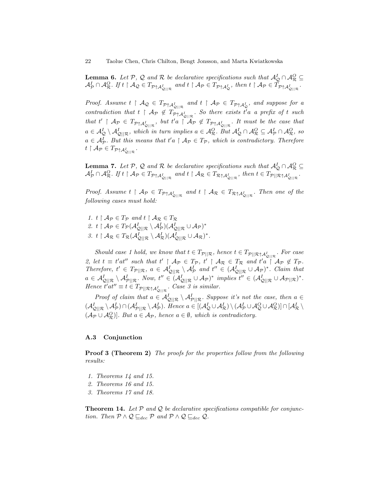**Lemma 6.** Let  $P$ ,  $Q$  and  $R$  be declarative specifications such that  $A_Q^I \cap A_R^O \subseteq$  $\mathcal{A}_{\mathcal{P}}^I \cap \mathcal{A}_{\mathcal{R}}^O$ . If  $t \restriction \mathcal{A}_{\mathcal{Q}} \in T_{\mathcal{P} \uparrow \mathcal{A}_{\mathcal{Q} \mid |\mathcal{R}}}$  and  $t \restriction \mathcal{A}_{\mathcal{P}} \in T_{\mathcal{P} \uparrow \mathcal{A}_{\mathcal{Q}}^I}$ , then  $t \restriction \mathcal{A}_{\mathcal{P}} \in \tilde{T}_{\mathcal{P} \uparrow \mathcal{A}_{\mathcal{Q} \mid |\mathcal{R}}}$ .

*Proof.* Assume  $t \restriction A_{\mathcal{Q}} \in T_{\mathcal{P} \uparrow \mathcal{A}_{\mathcal{Q} \mid \mid \mathcal{R}}^{\mathcal{I}}}$  and  $t \restriction A_{\mathcal{P}} \in T_{\mathcal{P} \uparrow \mathcal{A}_{\mathcal{Q}}^{\mathcal{I}}}$ , and suppose for a *contradiction that*  $t \restriction A_{\mathcal{P}} \notin T_{\mathcal{P} \uparrow A_{\mathcal{Q} \mid |\mathcal{R}}^{\mathcal{P}}}$ *. So there exists*  $t^{\prime}a$  *a prefix of t such that*  $t' \upharpoonright A_p \in T_{p \uparrow A_{\mathcal{Q}||\mathcal{R}}^I}$ , but  $t'a \upharpoonright A_p \notin T_{p \uparrow A_{\mathcal{Q}||\mathcal{R}}^I}$ . It must be the case that  $a\in \mathcal{A}_{\mathcal{Q}}^I\setminus \mathcal{A}_{\mathcal{Q}||\mathcal{R}}^I$ , which in turn implies  $a\in \mathcal{A}_{\mathcal{R}}^O$ . But  $\mathcal{A}_{\mathcal{Q}}^I\cap \mathcal{A}_{\mathcal{R}}^O\subseteq \mathcal{A}_{\mathcal{P}}^I\cap \mathcal{A}_{\mathcal{R}}^O$ , so  $a \in A_P^I$ . But this means that  $t' a \restriction A_P \in T_P$ , which is contradictory. Therefore  $t \restriction \mathcal{A}_{\mathcal{P}} \in T_{\mathcal{P} \uparrow \mathcal{A}_{\mathcal{Q} \mid |\mathcal{R}}}$ .

<span id="page-23-0"></span>**Lemma 7.** Let  $P$ ,  $Q$  and  $R$  be declarative specifications such that  $A_Q^I \cap A_R^O \subseteq$  $\mathcal{A}_{\mathcal{P}}^I \cap \mathcal{A}_{\mathcal{R}}^O$ . If  $t \restriction \mathcal{A}_{\mathcal{P}} \in T_{\mathcal{P} \uparrow \mathcal{A}_{\mathcal{Q} \parallel \mathcal{R}}^I}$  and  $t \restriction \mathcal{A}_{\mathcal{R}} \in T_{\mathcal{R} \uparrow \mathcal{A}_{\mathcal{Q} \parallel \mathcal{R}}^I}$ , then  $t \in T_{\mathcal{P} \parallel \mathcal{R} \uparrow \mathcal{A}_{\mathcal{Q} \parallel \mathcal{R}}^I}$ .

*Proof. Assume*  $t \restriction \mathcal{A}_{\mathcal{P}} \in T_{\mathcal{P} \uparrow \mathcal{A}_{\mathcal{Q} \mid |\mathcal{R}}^I}$  and  $t \restriction \mathcal{A}_{\mathcal{R}} \in T_{\mathcal{R} \uparrow \mathcal{A}_{\mathcal{Q} \mid |\mathcal{R}}^I}$ . Then one of the *following cases must hold:*

*1.*  $t \upharpoonright A_{\mathcal{P}} \in T_{\mathcal{P}}$  and  $t \upharpoonright A_{\mathcal{R}} \in T_{\mathcal{R}}$ 2. *t*  $\upharpoonright$  *A<sub>P</sub>*  $\in T_p(A_{\mathcal{Q}||\mathcal{R}}^I \setminus A_p^I)(A_{\mathcal{Q}||\mathcal{R}}^I \cup A_p^I)^*$ *3.*  $t \upharpoonright A_{\mathcal{R}} \in T_{\mathcal{R}}(A_{\mathcal{Q}||\mathcal{R}}^I \setminus A_{\mathcal{R}}^I)(A_{\mathcal{Q}||\mathcal{R}}^I \cup A_{\mathcal{R}})^*$ .

*Should case 1 hold, we know that*  $t \in T_{\mathcal{P}||\mathcal{R}}$ *, hence*  $t \in T_{\mathcal{P}||\mathcal{R} \uparrow A_{\mathcal{Q}||\mathcal{R}}^I}$ *. For case* 2, let  $t \equiv t'at''$  such that  $t' \upharpoonright \mathcal{A}_{\mathcal{P}} \in T_{\mathcal{P}}$ ,  $t' \upharpoonright \mathcal{A}_{\mathcal{R}} \in T_{\mathcal{R}}$  and  $t'a \upharpoonright \mathcal{A}_{\mathcal{P}} \notin T_{\mathcal{P}}$ . *Therefore,*  $t' \in T_{\mathcal{P}||\mathcal{R}}$ *,*  $a \in \mathcal{A}_{\mathcal{Q}||\mathcal{R}}^I \setminus \mathcal{A}_{\mathcal{P}}^I$  and  $t'' \in (\mathcal{A}_{\mathcal{Q}||\mathcal{R}}^I \cup \mathcal{A}_{\mathcal{P}})^*$ *. Claim that*  $a \in \mathcal{A}_{\mathcal{Q}||\mathcal{R}}^I \setminus \mathcal{A}_{\mathcal{P}||\mathcal{R}}^I$ . Now,  $t'' \in (\mathcal{A}_{\mathcal{Q}||\mathcal{R}}^I \cup \mathcal{A}_{\mathcal{P}})^*$  implies  $t'' \in (\mathcal{A}_{\mathcal{Q}||\mathcal{R}}^I \cup \mathcal{A}_{\mathcal{P}||\mathcal{R}})^*$ . *Hence*  $t'at'' \equiv t \in T_{\mathcal{P}||\mathcal{R} \uparrow \mathcal{A}_{\mathcal{Q}||\mathcal{R}}^I}$ . *Case 3 is similar.* 

*Proof of claim that*  $a \in A_{\mathcal{Q}||\mathcal{R}}^I \setminus A_{\mathcal{P}||\mathcal{R}}^I$ *. Suppose it's not the case, then*  $a \in$  $(\mathcal{A}_{\mathcal{Q}||\mathcal{R}}^I \setminus \mathcal{A}_{\mathcal{P}}^I) \cap (\mathcal{A}_{\mathcal{P}||\mathcal{R}}^I \setminus \mathcal{A}_{\mathcal{P}}^I)$ . Hence  $a \in [(\mathcal{A}_{\mathcal{Q}}^I \cup \mathcal{A}_{\mathcal{R}}^I) \setminus (\mathcal{A}_{\mathcal{P}}^I \cup \mathcal{A}_{\mathcal{Q}}^O \cup \mathcal{A}_{\mathcal{R}}^O)] \cap [\mathcal{A}_{\mathcal{R}}^I \setminus \mathcal{A}_{\mathcal{Q}}^I]$  $(A_{\mathcal{P}} \cup A_{\mathcal{R}}^{O})$ *. But*  $a \in A_{\mathcal{P}}$ *, hence*  $a \in \emptyset$ *, which is contradictory.* 

# A.3 Conjunction

Proof 3 (Theorem [2\)](#page-8-1) *The proofs for the properties follow from the following results:*

- *1. Theorems [14](#page-23-1) and [15.](#page-24-0)*
- *2. Theorems [16](#page-24-1) and [15.](#page-24-0)*
- *3. Theorems [17](#page-24-2) and [18.](#page-24-3)*

<span id="page-23-1"></span>Theorem 14. *Let P and Q be declarative specifications compatible for conjunction. Then*  $P \wedge Q \sqsubseteq_{dec} P$  *and*  $P \wedge Q \sqsubseteq_{dec} Q$ *.*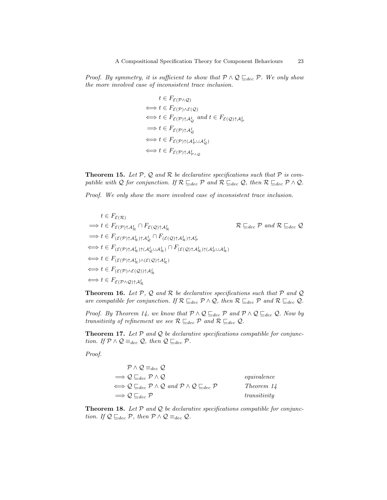*Proof.* By symmetry, it is sufficient to show that  $P \wedge Q \sqsubseteq_{dec} P$ . We only show *the more involved case of inconsistent trace inclusion.*

$$
t \in F_{\mathcal{E}(\mathcal{P} \wedge \mathcal{Q})}
$$
  
\n
$$
\iff t \in F_{\mathcal{E}(\mathcal{P}) \wedge \mathcal{E}(\mathcal{Q})}
$$
  
\n
$$
\iff t \in F_{\mathcal{E}(\mathcal{P}) \uparrow \mathcal{A}_{\mathcal{Q}}^{\mathcal{I}}} \text{ and } t \in F_{\mathcal{E}(\mathcal{Q}) \uparrow \mathcal{A}_{\mathcal{P}}^{\mathcal{I}}}
$$
  
\n
$$
\iff t \in F_{\mathcal{E}(\mathcal{P}) \uparrow (\mathcal{A}_{\mathcal{P}}^{\mathcal{I}} \cup \mathcal{A}_{\mathcal{Q}}^{\mathcal{I}})}
$$
  
\n
$$
\iff t \in F_{\mathcal{E}(\mathcal{P}) \uparrow (\mathcal{A}_{\mathcal{P} \wedge \mathcal{Q}}^{\mathcal{I}})}
$$

<span id="page-24-0"></span>**Theorem 15.** Let  $P$ ,  $Q$  and  $R$  be declarative specifications such that  $P$  is com*patible with*  $Q$  *for conjunction. If*  $R \sqsubseteq_{dec} P$  *and*  $R \sqsubseteq_{dec} Q$ *, then*  $R \sqsubseteq_{dec} P \wedge Q$ *.* 

*Proof. We only show the more involved case of inconsistent trace inclusion.*

$$
t \in F_{\mathcal{E}(\mathcal{R})}
$$
\n
$$
\implies t \in F_{\mathcal{E}(\mathcal{P}) \uparrow \mathcal{A}_{\mathcal{R}}^{I}} \cap F_{\mathcal{E}(\mathcal{Q}) \uparrow \mathcal{A}_{\mathcal{R}}^{I}}
$$
\n
$$
\implies t \in F_{(\mathcal{E}(\mathcal{P}) \uparrow \mathcal{A}_{\mathcal{R}}^{I}) \uparrow \mathcal{A}_{\mathcal{Q}}^{I}} \cap F_{(\mathcal{E}(\mathcal{Q}) \uparrow \mathcal{A}_{\mathcal{R}}^{I}) \uparrow \mathcal{A}_{\mathcal{P}}^{I}}
$$
\n
$$
\iff t \in F_{(\mathcal{E}(\mathcal{P}) \uparrow \mathcal{A}_{\mathcal{R}}^{I}) \uparrow (\mathcal{A}_{\mathcal{Q}}^{I} \cup \mathcal{A}_{\mathcal{R}}^{I})} \cap F_{(\mathcal{E}(\mathcal{Q}) \uparrow \mathcal{A}_{\mathcal{R}}^{I}) \uparrow (\mathcal{A}_{\mathcal{P}}^{I} \cup \mathcal{A}_{\mathcal{R}}^{I})}
$$
\n
$$
\iff t \in F_{(\mathcal{E}(\mathcal{P}) \uparrow \mathcal{A}_{\mathcal{R}}^{I}) \land (\mathcal{E}(\mathcal{Q}) \uparrow \mathcal{A}_{\mathcal{R}}^{I})}
$$
\n
$$
\iff t \in F_{(\mathcal{E}(\mathcal{P}) \land \mathcal{E}(\mathcal{Q})) \uparrow \mathcal{A}_{\mathcal{R}}^{I}}
$$
\n
$$
\iff t \in F_{\mathcal{E}(\mathcal{P} \land \mathcal{Q}) \uparrow \mathcal{A}_{\mathcal{R}}^{I}}
$$

<span id="page-24-1"></span>**Theorem 16.** Let  $P$ ,  $Q$  and  $R$  be declarative specifications such that  $P$  and  $Q$ *are compatible for conjunction. If*  $\mathcal{R} \sqsubseteq_{dec} \mathcal{P} \wedge \mathcal{Q}$ *, then*  $\mathcal{R} \sqsubseteq_{dec} \mathcal{P}$  *and*  $\mathcal{R} \sqsubseteq_{dec} \mathcal{Q}$ *.* 

*Proof. By Theorem [14,](#page-23-1) we know that*  $P \wedge Q \sqsubseteq_{dec} P$  *and*  $P \wedge Q \sqsubseteq_{dec} Q$ *. Now by transitivity of refinement we see*  $R \sqsubseteq_{dec} P$  *and*  $R \sqsubseteq_{dec} Q$ *.* 

<span id="page-24-2"></span>Theorem 17. *Let P and Q be declarative specifications compatible for conjunction.* If  $P \wedge Q \equiv_{dec} Q$ , then  $Q \sqsubseteq_{dec} P$ .

*Proof.*

| $P \wedge Q \equiv_{dec} Q$                                                     |              |
|---------------------------------------------------------------------------------|--------------|
| $\implies Q \sqsubseteq_{dec} P \wedge Q$                                       | equivalence  |
| $\iff Q \sqsubseteq_{dec} P \land Q \text{ and } P \land Q \sqsubseteq_{dec} P$ | Theorem 14   |
| $\implies Q \sqsubseteq_{dec} P$                                                | transitivity |

<span id="page-24-3"></span>Theorem 18. *Let P and Q be declarative specifications compatible for conjunction.* If  $Q \sqsubseteq_{dec} P$ *, then*  $P \wedge Q \equiv_{dec} Q$ *.*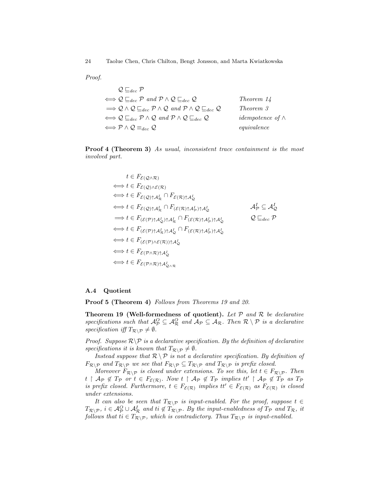*Proof.*

| $\mathcal{Q} \sqsubseteq_{dec} \mathcal{P}$                                                |                                |
|--------------------------------------------------------------------------------------------|--------------------------------|
| $\iff Q \sqsubseteq_{dec} P$ and $P \wedge Q \sqsubseteq_{dec} Q$                          | Theorem 14                     |
| $\Rightarrow Q \wedge Q \sqsubseteq_{dec} P \wedge Q$ and $P \wedge Q \sqsubseteq_{dec} Q$ | <i>Theorem 3</i>               |
| $\iff Q \sqsubseteq_{dec} P \land Q \text{ and } P \land Q \sqsubseteq_{dec} Q$            | <i>idempotence</i> of $\wedge$ |
| $\iff \mathcal{P} \wedge \mathcal{Q} \equiv_{dec} \mathcal{Q}$                             | equivalence                    |

Proof 4 (Theorem [3\)](#page-8-2) *As usual, inconsistent trace containment is the most involved part.*

$$
t \in F_{\mathcal{E}(\mathcal{Q} \wedge \mathcal{R})}
$$
  
\n
$$
\iff t \in F_{\mathcal{E}(\mathcal{Q}) \wedge \mathcal{E}(\mathcal{R})}
$$
  
\n
$$
\iff t \in F_{\mathcal{E}(\mathcal{Q}) \uparrow \mathcal{A}_{\mathcal{R}}^{I}} \cap F_{\mathcal{E}(\mathcal{R}) \uparrow \mathcal{A}_{\mathcal{Q}}^{I}}
$$
  
\n
$$
\iff t \in F_{\mathcal{E}(\mathcal{Q}) \uparrow \mathcal{A}_{\mathcal{R}}^{I}} \cap F_{(\mathcal{E}(\mathcal{R}) \uparrow \mathcal{A}_{\mathcal{P}}^{I}) \uparrow \mathcal{A}_{\mathcal{Q}}^{I}}
$$
  
\n
$$
\iff t \in F_{(\mathcal{E}(\mathcal{P}) \uparrow \mathcal{A}_{\mathcal{Q}}^{I}) \uparrow \mathcal{A}_{\mathcal{R}}^{I}} \cap F_{(\mathcal{E}(\mathcal{R}) \uparrow \mathcal{A}_{\mathcal{P}}^{I}) \uparrow \mathcal{A}_{\mathcal{Q}}^{I}}
$$
  
\n
$$
\iff t \in F_{(\mathcal{E}(\mathcal{P}) \uparrow \mathcal{A}_{\mathcal{R}}^{I}) \uparrow \mathcal{A}_{\mathcal{Q}}^{I}} \cap F_{(\mathcal{E}(\mathcal{R}) \uparrow \mathcal{A}_{\mathcal{P}}^{I}) \uparrow \mathcal{A}_{\mathcal{Q}}^{I}}
$$
  
\n
$$
\iff t \in F_{(\mathcal{E}(\mathcal{P}) \wedge \mathcal{E}(\mathcal{R})) \uparrow \mathcal{A}_{\mathcal{Q}}^{I}}
$$
  
\n
$$
\iff t \in F_{\mathcal{E}(\mathcal{P} \wedge \mathcal{R}) \uparrow \mathcal{A}_{\mathcal{Q}}^{I}}
$$
  
\n
$$
\iff t \in F_{\mathcal{E}(\mathcal{P} \wedge \mathcal{R}) \uparrow \mathcal{A}_{\mathcal{Q} \wedge \mathcal{R}}^{I}}
$$

# A.4 Quotient

Proof 5 (Theorem [4\)](#page-9-1) *Follows from Theorems [19](#page-25-0) and [20.](#page-26-0)*

<span id="page-25-0"></span>Theorem 19 (Well-formedness of quotient). *Let P and R be declarative specifications such that*  $A_{\mathcal{P}}^{\mathcal{Q}} \subseteq A_{\mathcal{R}}^{\mathcal{Q}}$  and  $A_{\mathcal{P}} \subseteq A_{\mathcal{R}}$ . Then  $\mathcal{R} \setminus \mathcal{P}$  *is a declarative specification iff*  $T_{\mathcal{R}\setminus \mathcal{P}} \neq \emptyset$ *.* 

*Proof.* Suppose  $\mathcal{R}\backslash\mathcal{P}$  *is a declarative specification. By the definition of declarative specifications it is known that*  $T_{\mathcal{R}\setminus \mathcal{P}} \neq \emptyset$ *.* 

*Instead suppose that*  $\mathcal{R}\setminus\mathcal{P}$  *is not a declarative specification. By definition of*  $F_{\mathcal{R}\setminus\mathcal{P}}$  *and*  $T_{\mathcal{R}\setminus\mathcal{P}}$  *we see that*  $F_{\mathcal{R}\setminus\mathcal{P}} \subseteq T_{\mathcal{R}\setminus\mathcal{P}}$  *and*  $T_{\mathcal{R}\setminus\mathcal{P}}$  *is prefix closed.* 

*Moreover*  $F_{\mathcal{R}\setminus\mathcal{P}}$  *is closed under extensions. To see this, let*  $t \in F_{\mathcal{R}\setminus\mathcal{P}}$ *. Then*  $t \restriction \mathcal{A}_{\mathcal{P}} \notin T_{\mathcal{P}}$  or  $t \in F_{\mathcal{E}(\mathcal{R})}$ . Now  $t \restriction \mathcal{A}_{\mathcal{P}} \notin T_{\mathcal{P}}$  implies  $tt' \restriction \mathcal{A}_{\mathcal{P}} \notin T_{\mathcal{P}}$  as  $T_{\mathcal{P}}$ *is prefix closed. Furthermore,*  $t \in F_{\mathcal{E}(\mathcal{R})}$  *implies*  $tt' \in F_{\mathcal{E}(\mathcal{R})}$  *as*  $F_{\mathcal{E}(\mathcal{R})}$  *is closed under extensions.*

*It can also be seen that*  $T_{\mathcal{R}\setminus\mathcal{P}}$  *is input-enabled. For the proof, suppose*  $t \in$  $T_{\mathcal{R}\setminus\mathcal{P}}$ ,  $i \in \mathcal{A}_{\mathcal{P}}^O \cup \mathcal{A}_{\mathcal{R}}^I$  and  $ti \notin T_{\mathcal{R}\setminus\mathcal{P}}$ . By the input-enabledness of  $T_{\mathcal{P}}$  and  $T_{\mathcal{R}}$ , it *follows that*  $ti \in T_{\mathcal{R}\backslash\mathcal{P}}$ , which is contradictory. Thus  $T_{\mathcal{R}\backslash\mathcal{P}}$  is input-enabled.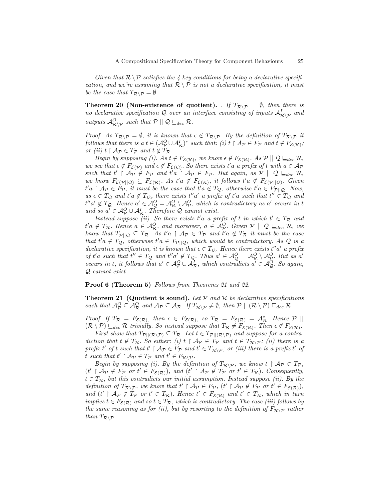*Given that*  $\mathcal{R} \setminus \mathcal{P}$  *satisfies the* 4 key conditions for being a declarative specifi*cation, and we're assuming that*  $\mathcal{R}\setminus\mathcal{P}$  *is not a declarative specification, it must be the case that*  $T_{\mathcal{R}\setminus\mathcal{P}} = \emptyset$ *.* 

<span id="page-26-0"></span>**Theorem 20 (Non-existence of quotient).** *. If*  $T_{\mathcal{R}\setminus\mathcal{P}} = \emptyset$ *, then there is no declarative specification*  $Q$  *over an interface consisting of inputs*  $A^I_{\mathcal{R}\setminus\mathcal{P}}$  *and outputs*  $\mathcal{A}_{\mathcal{R}\setminus\mathcal{P}}^{\mathcal{O}}$  *such that*  $\mathcal{P} \mid \mathcal{Q} \sqsubseteq_{dec} \mathcal{R}$ *.* 

*Proof.* As  $T_{\mathcal{R}\setminus\mathcal{P}} = \emptyset$ , it is known that  $\epsilon \notin T_{\mathcal{R}\setminus\mathcal{P}}$ . By the definition of  $T_{\mathcal{R}\setminus\mathcal{P}}$  it *follows that there is a*  $t \in (A_{\mathcal{P}}^{O} \cup A_{\mathcal{R}}^{I})^*$  *such that: (i)*  $t \upharpoonright A_{\mathcal{P}} \in F_{\mathcal{P}}$  *and*  $t \notin F_{\mathcal{E}(\mathcal{R})}$ *; or (ii)*  $t \upharpoonright \mathcal{A}_{\mathcal{P}} \in T_{\mathcal{P}}$  *and*  $t \notin T_{\mathcal{R}}$ *.* 

*Begin by supposing (i). As*  $t \notin F_{\mathcal{E}(\mathcal{R})}$ *, we know*  $\epsilon \notin F_{\mathcal{E}(\mathcal{R})}$ *. As*  $\mathcal{P} \parallel \mathcal{Q} \sqsubseteq_{dec} \mathcal{R}$ *, we see that*  $\epsilon \notin F_{\mathcal{E}(\mathcal{P})}$  *and*  $\epsilon \notin F_{\mathcal{E}(\mathcal{Q})}$ *. So there exists t'a a* prefix of *t* with  $a \in \mathcal{A}_{\mathcal{P}}$ *such that*  $t' \restriction A_P \notin F_P$  *and*  $t'a \restriction A_P \in F_P$ . But again, as  $P \parallel Q \sqsubseteq_{dec} R$ ,  $we$   $k \in \mathbb{F}_{\mathcal{E}(\mathcal{P}||\mathcal{Q})} \subseteq F_{\mathcal{E}(\mathcal{R})}$ . As  $t' \in \mathcal{F}_{\mathcal{E}(\mathcal{R})}$ , it follows  $t' \in \mathcal{F}_{\mathcal{E}(\mathcal{P}||\mathcal{Q})}$ . Given  $t'$ **a**  $\uparrow$   $A$ <sup>*p*</sup>  $\in$  *F<sub>P</sub>*, *it must be the case that*  $t'$ **a**  $\notin$   $T_Q$ *, otherwise*  $t'$ **a**  $\in$   $F$ <sub>*P*||Q</sub>*. Now,*  $as \epsilon \in T_Q$  *and*  $t'a \notin T_Q$ , there exists  $t''a'$  *a* prefix of  $t'a$  such that  $t'' \in T_Q$  and  $t''a' \notin T_Q$ . Hence  $a' \in A_Q^O = A_R^O \setminus A_P^O$ , which is contradictory as *a*<sup>1</sup> occurs in *t and so*  $a' \in A_{\mathcal{P}}^{O} \cup A_{\mathcal{R}}^{I}$ . Therefore Q cannot exist.

*Instead suppose (ii). So there exists*  $t'$  *a a prefix of*  $t$  *in which*  $t' \in T_R$  *and*  $t^{\prime}a \notin T_{\mathcal{R}}$ *. Hence*  $a \in \mathcal{A}_{\mathcal{R}}^{\mathcal{Q}}$ *, and moreover,*  $a \in \mathcal{A}_{\mathcal{P}}^{\mathcal{Q}}$ *. Given*  $\mathcal{P} \parallel \mathcal{Q} \sqsubseteq_{dec} \mathcal{R}$ *, we know that*  $T_{\mathcal{P}}||Q \subseteq T_{\mathcal{R}}$ *. As*  $t'a \upharpoonright A_{\mathcal{P}} \in T_{\mathcal{P}}$  and  $t'a \notin T_{\mathcal{R}}$  *it must be the case that*  $t'$   $a \notin T_Q$ , otherwise  $t'$   $a \in T_{\mathcal{P}||Q}$ , which would be contradictory. As  $Q$  is a *declarative specification, it is known that*  $\epsilon \in T_Q$ . Hence there exists  $t''a'$  a prefix of t'a such that  $t'' \in T_Q$  and  $t''a' \notin T_Q$ . Thus  $a' \in \mathcal{A}_Q^O = \mathcal{A}_R^O \setminus \mathcal{A}_P^O$ . But as a' *occurs in t, it follows that*  $a' \in A_{\mathcal{P}}^O \cup A_{\mathcal{R}}^I$ *, which contradicts*  $a' \in A_{\mathcal{Q}}^O$ *. So again, Q cannot exist.*

Proof 6 (Theorem [5\)](#page-9-2) *Follows from Theorems [21](#page-26-1) and [22.](#page-27-0)*

<span id="page-26-1"></span>Theorem 21 (Quotient is sound). *Let P and R be declarative specifications such that*  $\mathcal{A}_{\mathcal{P}}^{\mathcal{Q}} \subseteq \mathcal{A}_{\mathcal{R}}^{\mathcal{Q}}$  *and*  $\mathcal{A}_{\mathcal{P}} \subseteq \mathcal{A}_{\mathcal{R}}$ *. If*  $T_{\mathcal{R}\setminus\mathcal{P}} \neq \emptyset$ *, then*  $\mathcal{P} \mid \mid (\mathcal{R} \setminus \mathcal{P}) \sqsubseteq_{dec} \mathcal{R}$ *.* 

*Proof. If*  $T_R = F_{\mathcal{E}(R)}$ , then  $\epsilon \in F_{\mathcal{E}(R)}$ , so  $T_R = F_{\mathcal{E}(R)} = A_R^*$ . Hence  $\mathcal{P} \parallel$  $(\mathcal{R}\setminus\mathcal{P})\sqsubseteq_{dec}\mathcal{R}$  *trivially. So instead suppose that*  $T_{\mathcal{R}} \neq F_{\mathcal{E}(\mathcal{R})}$ *. Then*  $\epsilon \notin F_{\mathcal{E}(\mathcal{R})}$ *.* 

*First show that*  $T_{\mathcal{P}||(\mathcal{R}\backslash\mathcal{P})} \subseteq T_{\mathcal{R}}$ *. Let*  $t \in T_{\mathcal{P}||(\mathcal{R}\backslash\mathcal{P})}$  *and suppose for a contradiction that*  $t \notin T_R$ *. So either: (i)*  $t \upharpoonright A_P \in T_P$  *and*  $t \in T_R \setminus P$ *; (ii) there is a*  $p$ *refix**t***'** *of t such that*  $t' \restriction A_p \in F_p$  *and*  $t' \in T_{\mathcal{R}\setminus p}$ *; or (iii) there is a prefix*  $t'$  *of t such that*  $t' \upharpoonright A_{\mathcal{P}} \in T_{\mathcal{P}}$  *and*  $t' \in F_{\mathcal{R}\setminus\mathcal{P}}$ *.* 

*Begin by supposing (i). By the definition of*  $T_{\mathcal{R}\backslash\mathcal{P}}$ *, we know*  $t \restriction \mathcal{A}_{\mathcal{P}} \in T_{\mathcal{P}}$ *,*  $(t' \upharpoonright A_{\mathcal{P}} \notin F_{\mathcal{P}} \text{ or } t' \in F_{\mathcal{E}(\mathcal{R})})$ , and  $(t' \upharpoonright A_{\mathcal{P}} \notin T_{\mathcal{P}} \text{ or } t' \in T_{\mathcal{R}})$ . Consequently,  $t \in T_R$ , but this contradicts our initial assumption. Instead suppose (ii). By the definition of  $T_{\mathcal{R}\setminus\mathcal{P}}$ , we know that  $t' \upharpoonright A_{\mathcal{P}} \in F_{\mathcal{P}}$ ,  $(t' \upharpoonright A_{\mathcal{P}} \notin F_{\mathcal{P}}$  or  $t' \in F_{\mathcal{E}(\mathcal{R})}$ , *and*  $(t' \upharpoonright A_P \notin T_P$  *or*  $t' \in T_R$ *). Hence*  $t' \in F_{\mathcal{E}(R)}$  *and*  $t' \in T_R$ *, which in turn implies*  $t \in F_{\mathcal{E}(\mathcal{R})}$  *and so*  $t \in T_{\mathcal{R}}$ *, which is contradictory. The case (iii) follows by the same reasoning as for (ii), but by resorting to the definition of*  $F_{\mathcal{R}\setminus\mathcal{P}}$  *rather than*  $T_{\mathcal{R}\backslash\mathcal{P}}$ *.*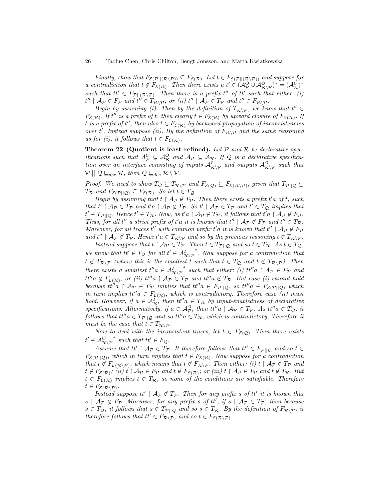*Finally, show that*  $F_{\mathcal{E}(\mathcal{P}||(\mathcal{R}\setminus\mathcal{P}))} \subseteq F_{\mathcal{E}(\mathcal{R})}$ . Let  $t \in F_{\mathcal{E}(\mathcal{P}||(\mathcal{R}\setminus\mathcal{P}))}$  *and suppose for a* contradiction that  $t \notin F_{\mathcal{E}(\mathcal{R})}$ . Then there exists a  $t' \in (A_{\mathcal{P}}^{O} \cup A_{\mathcal{R}\setminus\mathcal{P}}^{O})^* = (A_{\mathcal{R}}^{O})^*$ *such that*  $t t' \in F_{\mathcal{P} \mid |(\mathcal{R}\setminus \mathcal{P})}$ . Then there is a prefix  $t''$  of  $t t'$  such that either: (i)  $t'' \upharpoonright$  *A*<sub>*P*</sub>  $\in$  *F*<sub>*P*</sub> and  $t'' \in T_{\mathcal{R}\setminus\mathcal{P}}$ ; or (ii)  $t'' \upharpoonright$  *A*<sub>*P*</sub>  $\in$  *T*<sub>*P*</sub> and  $t'' \in F_{\mathcal{R}\setminus\mathcal{P}}$ .

*Begin by assuming (i). Then by the definition of*  $T_{\mathcal{R}\setminus\mathcal{P}}$ , we know that  $t'' \in$  $F_{\mathcal{E}(\mathcal{R})}$ *. If*  $t''$  *is a prefix of*  $t$ *, then clearly*  $t \in F_{\mathcal{E}(\mathcal{R})}$  *by upward closure of*  $F_{\mathcal{E}(\mathcal{R})}$ *. If*  $t$  *is a prefix of*  $t''$ , then also  $t \in F_{\mathcal{E}(\mathcal{R})}$  by backward propagation of inconsistencies *over t'*. Instead suppose (ii). By the definition of  $F_{\mathcal{R}\setminus\mathcal{P}}$  and the same reasoning *as for (i), it follows that*  $t \in F_{\mathcal{E}(\mathcal{R})}$ *.* 

<span id="page-27-0"></span>Theorem 22 (Quotient is least refined). *Let P and R be declarative specifications such that*  $\mathcal{A}_{\mathcal{P}}^{\mathcal{Q}} \subseteq \mathcal{A}_{\mathcal{R}}^{\mathcal{Q}}$  and  $\mathcal{A}_{\mathcal{P}} \subseteq \mathcal{A}_{\mathcal{R}}$ . If  $\mathcal{Q}$  is a declarative specifica*tion over an interface consisting of inputs*  $A^I_{\mathcal{R}\setminus\mathcal{P}}$  *and outputs*  $A^O_{\mathcal{R}\setminus\mathcal{P}}$  *such that*  $P \parallel Q \sqsubseteq_{dec} R$ , then  $Q \sqsubseteq_{dec} R \setminus P$ .

*Proof.* We need to show  $T_Q \subseteq T_{\mathcal{R}\setminus\mathcal{P}}$  and  $F_{\mathcal{E}(Q)} \subseteq F_{\mathcal{E}(\mathcal{R}\setminus\mathcal{P})}$ , given that  $T_{\mathcal{P}||Q} \subseteq$  $T_{\mathcal{R}}$  *and*  $F_{\mathcal{E}(\mathcal{P}||\mathcal{Q})} \subseteq F_{\mathcal{E}(\mathcal{R})}$ *. So let*  $t \in T_{\mathcal{Q}}$ *.* 

*Begin by assuming that*  $t \restriction A_P \notin T_P$ . Then there exists a prefix  $t'$  a of t, such that  $t' \upharpoonright A_{\mathcal{P}} \in T_{\mathcal{P}}$  and  $t'$ a  $\upharpoonright A_{\mathcal{P}} \notin T_{\mathcal{P}}$ . So  $t' \upharpoonright A_{\mathcal{P}} \in T_{\mathcal{P}}$  and  $t' \in T_{\mathcal{Q}}$  implies that  $t' \in T_{\mathcal{P}}||\mathcal{Q}$ . Hence  $t' \in T_{\mathcal{R}}$ . Now, as  $t'a \restriction \mathcal{A}_{\mathcal{P}} \notin T_{\mathcal{P}}$ , it follows that  $t'a \restriction \mathcal{A}_{\mathcal{P}} \notin F_{\mathcal{P}}$ . *Thus, for all*  $t''$  *a strict prefix of*  $t'$  *a it is known that*  $t'' \upharpoonright \mathcal{A}_{\mathcal{P}} \notin F_{\mathcal{P}}$  *and*  $t'' \in T_{\mathcal{R}}$ *.* Moreover, for all traces  $t''$  with common prefix  $t'a$  it is known that  $t'' \restriction A_{\mathcal{P}} \notin F_{\mathcal{P}}$ *and*  $t'' \restriction A_P \notin T_P$ . Hence  $t'a \in T_{\mathcal{R}\setminus \mathcal{P}}$  *and so by the previous reasoning*  $t \in T_{\mathcal{R}\setminus \mathcal{P}}$ *.* 

*Instead suppose that*  $t \restriction \mathcal{A}_{\mathcal{P}} \in T_{\mathcal{P}}$ *. Then*  $t \in T_{\mathcal{P}} \mid \mid \mathcal{Q}$  *and so*  $t \in T_{\mathcal{R}}$ *. As*  $t \in T_{\mathcal{Q}}$ *, we know that*  $tt' \in T_Q$  *for all*  $t' \in A_{\mathcal{R} \setminus \mathcal{P}}^*$ . Now suppose for a contradiction that  $f \notin T_{\mathcal{R}\setminus\mathcal{P}}$  *(where this is the smallest t such that*  $t \in T_{\mathcal{Q}}$  *and*  $t \notin T_{\mathcal{R}\setminus\mathcal{P}}$ *). Then there exists a smallest*  $t''a \in A_{\mathcal{R}\setminus\mathcal{P}}^*$  *such that either: (i)*  $tt''a \upharpoonright A_{\mathcal{P}} \in F_{\mathcal{P}}$  and  $tt''a \notin F_{\mathcal{E}(\mathcal{R})}$ *; or (ii)*  $tt''a \upharpoonright \mathcal{A}_{\mathcal{P}} \in T_{\mathcal{P}}$  and  $tt''a \notin T_{\mathcal{R}}$ *. But case (i)* cannot hold *because*  $tt''a \restriction A_p \in F_p$  *implies that*  $tt''a \in F_{p||Q}$ *, so*  $tt''a \in F_{\mathcal{E}(P||Q)}$  *which in turn implies*  $tt''a \in F_{\mathcal{E}(\mathcal{R})}$ *, which is contradictory. Therefore case (ii) must hold. However, if*  $a \in A_{\mathcal{R}}^I$ *, then*  $tt''a \in T_{\mathcal{R}}$  *by input-enabledness of declarative specifications. Alternatively, if*  $a \in A_{\mathcal{P}}^{Q}$ , then  $tt''a \upharpoonright A_{\mathcal{P}} \in T_{\mathcal{P}}$ . As  $tt''a \in T_{\mathcal{Q}}$ , it *follows that*  $tt''a \in T_{\mathcal{P}||\mathcal{Q}}$  *and so*  $tt''a \in T_{\mathcal{R}}$ *, which is contradictory. Therefore it must be the case that*  $t \in T_{\mathcal{R}\setminus \mathcal{P}}$ *.* 

*Now to deal with the inconsistent traces, let*  $t \in F_{\mathcal{E}(\mathcal{Q})}$ *. Then there exists*  $t' \in A_{\mathcal{R}\setminus\mathcal{P}}^{\mathcal{O}}$  *such that*  $tt' \in F_{\mathcal{Q}}$ *.* 

*Assume that*  $tt' \upharpoonright A_p \in T_p$ . It therefore follows that  $tt' \in F_{p||Q}$  and so  $t \in$  $F_{\mathcal{E}(\mathcal{P}||\mathcal{Q})}$ *, which in turn implies that*  $t \in F_{\mathcal{E}(\mathcal{R})}$ *. Now suppose for a contradiction that*  $t \notin F_{\mathcal{E}(\mathcal{R}\setminus\mathcal{P})}$ *, which means that*  $t \notin F_{\mathcal{R}\setminus\mathcal{P}}$ *. Then either: (i)*  $t \restriction \mathcal{A}_{\mathcal{P}} \in T_{\mathcal{P}}$  *and*  $t \notin F_{\mathcal{E}(\mathcal{R})}$ ; (ii)  $t \restriction \mathcal{A}_{\mathcal{P}} \in F_{\mathcal{P}}$  and  $t \notin F_{\mathcal{E}(\mathcal{R})}$ ; or (iii)  $t \restriction \mathcal{A}_{\mathcal{P}} \in T_{\mathcal{P}}$  and  $t \notin T_{\mathcal{R}}$ . But  $t \in F_{\mathcal{E}(\mathcal{R})}$  *implies*  $t \in T_{\mathcal{R}}$ *, so none of the conditions are satisfiable. Therefore*  $t \in F_{\mathcal{E}(\mathcal{R}\backslash\mathcal{P})}$ .

*Instead suppose*  $tt' \upharpoonright A_P \notin T_P$ . Then for any prefix *s* of  $tt'$  *it is known that*  $s \restriction A_P \notin F_P$ . Moreover, for any prefix  $s \circ f \circ t'$ , if  $s \restriction A_P \in T_P$ , then because  $s \in T_Q$ , it follows that  $s \in T_{\mathcal{P}||Q}$  and so  $s \in T_{\mathcal{R}}$ . By the definition of  $F_{\mathcal{R}\setminus\mathcal{P}}$ , it *therefore follows that*  $tt' \in F_{\mathcal{R}\setminus\mathcal{P}}$ *, and so*  $t \in F_{\mathcal{E}(\mathcal{R}\setminus\mathcal{P})}$ *.*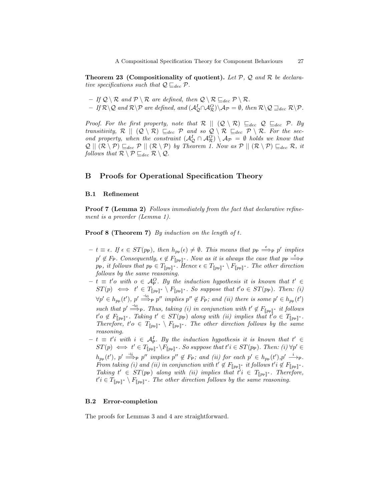Theorem 23 (Compositionality of quotient). *Let P, Q and R be declarative specifications such that*  $Q \sqsubseteq_{dec} P$ *.* 

- $-If$   $Q \setminus R$  *and*  $P \setminus R$  *are defined, then*  $Q \setminus R \sqsubseteq_{dec} P \setminus R$ *.*
- $-If\mathcal{R}\setminus\mathcal{Q}$  and  $\mathcal{R}\setminus\mathcal{P}$  are defined, and  $(A_{\mathcal{Q}}^I\cap A_{\mathcal{R}}^O)\setminus A_{\mathcal{P}}=\emptyset$ , then  $\mathcal{R}\setminus\mathcal{Q} \sqsupseteq_{dec} \mathcal{R}\setminus\mathcal{P}$ .

*Proof.* For the first property, note that  $\mathcal{R} \parallel (\mathcal{Q} \setminus \mathcal{R}) \sqsubseteq_{dec} \mathcal{Q} \sqsubseteq_{dec} \mathcal{P}$ . By *transitivity,*  $\mathcal{R} \parallel (\mathcal{Q} \setminus \mathcal{R}) \sqsubseteq_{dec} \mathcal{P}$  and so  $\mathcal{Q} \setminus \mathcal{R} \sqsubseteq_{dec} \mathcal{P} \setminus \mathcal{R}$ *. For the second property, when the constraint*  $(A_{\mathcal{Q}}^I \cap A_{\mathcal{R}}^O) \setminus A_{\mathcal{P}} = \emptyset$  holds we know that  $Q \parallel (\mathcal{R} \setminus \mathcal{P}) \sqsubseteq_{dec} \mathcal{P} \parallel (\mathcal{R} \setminus \mathcal{P})$  by Theorem [1.](#page-8-0) Now as  $\mathcal{P} \parallel (\mathcal{R} \setminus \mathcal{P}) \sqsubseteq_{dec} \mathcal{R}$ , it *follows that*  $\mathcal{R}\setminus \mathcal{P} \sqsubseteq_{dec} \mathcal{R}\setminus \mathcal{Q}$ *.* 

# B Proofs for Operational Specification Theory

#### B.1 Refinement

Proof 7 (Lemma [2\)](#page-12-2) *Follows immediately from the fact that declarative refinement is a preorder (Lemma [1\)](#page-7-0).*

Proof 8 (Theorem [7\)](#page-12-3) *By induction on the length of t.*

- $t \equiv \epsilon$ . If  $\epsilon \in ST(p_P)$ , then  $h_{p_P}(\epsilon) \neq \emptyset$ . This means that  $p_P \stackrel{\epsilon}{\Longrightarrow}_P p'$  implies  $p' \notin F_P$ . Consequently,  $\epsilon \notin F_{[p_P]^*}$ . Now as it is always the case that  $p_P \stackrel{\epsilon}{\Longrightarrow} P$ *p*<sub>P</sub>, it follows that  $p_P \in T_{\llbracket p_P \rrbracket^*}$ . Hence  $\epsilon \in T_{\llbracket p_P \rrbracket^*} \setminus F_{\llbracket p_P \rrbracket^*}$ . The other direction *follows by the same reasoning.*
- $t \equiv t'$  *o* with  $o \in A_P^O$ . By the induction hypothesis it is known that  $t' \in$  $ST(p) \iff t' \in T_{[p_P]^*} \setminus F_{[p_P]^*}$ *. So suppose that*  $t'o \in ST(p_P)$ *. Then: (i)*  $\forall p' \in h_{p_{\mathsf{P}}}(t'), p' \stackrel{\dashrightarrow}{\Longrightarrow}_{\mathsf{P}} p'' \implies p'' \notin F_{\mathsf{P}}; and (ii) there is some p' \in h_{p_{\mathsf{P}}}(t')$  $\mathcal{L}$  such that  $p' \stackrel{\dashv o}{\longrightarrow} P$ . Thus, taking (i) in conjunction with  $t' \notin F_{\llbracket p_{\mathbb{P}} \rrbracket^*}$  it follows  $t'o \notin F_{\llbracket p_P \rrbracket^*}.$  Taking  $t' \in ST(p_P)$  along with (ii) implies that  $t'o \in T_{\llbracket p_P \rrbracket^*}.$ *Therefore,*  $t'o \in T_{\llbracket p_P \rrbracket^*} \setminus F_{\llbracket p_P \rrbracket^*}$ . The other direction follows by the same *reasoning.*
- $t \equiv t' i \text{ with } i \in A_P^I$ . By the induction hypothesis it is known that  $t' \in$  $ST(p) \iff t' \in T_{\llbracket pp \rrbracket^*} \backslash F_{\llbracket pp \rrbracket^*}$ *. So suppose that*  $t'i \in ST(p_P)$ *. Then: (i)*  $\forall p' \in T$  $h_{p}$ (*t'*),  $p' \stackrel{i}{\Longrightarrow}$   $p'$  *implies*  $p'' \notin F_P$ ; and (*ii*) for each  $p' \in h_{p}$ (*t'*),  $p' \stackrel{i}{\Longrightarrow}$ *From taking (i) and (ii) in conjunction with*  $t' \notin F_{\llbracket pp \rrbracket^*}$  *it follows*  $t' \notin F_{\llbracket pp \rrbracket^*}$ . *Taking*  $t' \in ST(p_P)$  *along with (ii) implies that*  $t'i \in T_{[p_P]^*}$ *. Therefore,*  $t'i \in T_{[\![p_{\mathsf{P}}]\!]^*} \setminus F_{[\![p_{\mathsf{P}}]\!]^*}$ . The other direction follows by the same reasoning.

#### B.2 Error-completion

The proofs for Lemmas [3](#page-14-0) and [4](#page-14-1) are straightforward.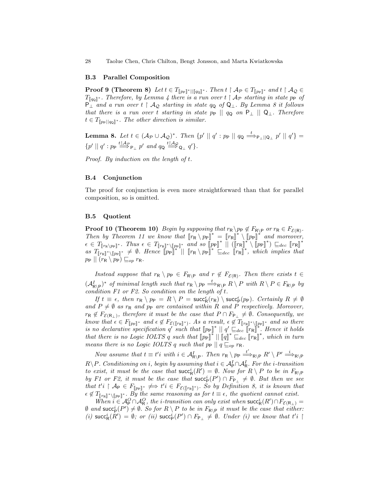#### B.3 Parallel Composition

**Proof 9 (Theorem [8\)](#page-15-1)** Let  $t \in T_{\llbracket pp \rrbracket^*}$  *Integral f*  $\mathcal{A}_p \in T_{\llbracket pp \rrbracket^*}$  *and*  $t \restriction \mathcal{A}_Q \in$ *T* $\mathbb{I}_{q_0}$ <sup>\*</sup>. Therefore, by Lemma [4](#page-14-1) there is a run over  $t \restriction \mathcal{A}_{\mathcal{P}}$  starting in state  $p_{\mathcal{P}}$  of  $P_{\perp}$  and a run over  $t \restriction \mathcal{A}_{\mathcal{Q}}$  starting in state  $q_Q$  of  $Q_{\perp}$ . By Lemma [8](#page-29-0) it follows *that there is a run over t starting in state*  $p_P || q_Q$  *on*  $P_{\perp} || Q_{\perp}$ . Therefore  $t \in T_{\llbracket p_{\text{P}} \rrbracket |q_{\text{Q}}\rrbracket^*}.$  The other direction is similar.

<span id="page-29-0"></span>**Lemma 8.** Let  $t \in (A_{\mathcal{P}} \cup A_{\mathcal{Q}})^*$ . Then  $\{p' \mid q' : p_{\mathcal{P}} \mid q_{\mathcal{Q}} \stackrel{t}{\Longrightarrow}_{\mathsf{P}_{\perp} \mid |\mathcal{Q}_{\perp}} p' \mid q' \} =$  $\{p' \mid q' : p_P \stackrel{t \upharpoonright \mathcal{A}_{\mathcal{P}}}{\Longrightarrow} P_{\perp} \ p' \ \text{and} \ q_Q \stackrel{t \upharpoonright \mathcal{A}_{\mathcal{Q}}}{\Longrightarrow} Q_{\perp} \ q' \}.$ 

*Proof. By induction on the length of t.*

#### B.4 Conjunction

The proof for conjunction is even more straightforward than that for parallel composition, so is omitted.

#### B.5 Quotient

**Proof 10 (Theorem [10\)](#page-18-1)** *Begin by supposing that*  $r_R \pmb{\downarrow} p_P \not\in F_{R \pmb{\downarrow}}$  *or*  $r_R \in F_{\mathcal{E}(R)}$ *. Then by Theorem [11](#page-18-2) we know that*  $[\![r_R \nbrace p \!]^* = [\![r_R]\!]^* \setminus [\![p_P]\!]^*$  and moreover,  $\epsilon \in T_{\llbracket r_{\mathsf{R}} \setminus p_{\mathsf{P}} \rrbracket^*}$ . Thus  $\epsilon \in T_{\llbracket r_{\mathsf{R}} \rrbracket^* \setminus \llbracket p_{\mathsf{P}} \rrbracket^*}$  and so  $\llbracket p_{\mathsf{P}} \rrbracket^* \parallel (\llbracket r_{\mathsf{R}} \rrbracket^* \setminus \llbracket p_{\mathsf{P}} \rrbracket^*) \sqsubseteq_{dec} \llbracket r_{\mathsf{R}} \rrbracket^*$  $as$   $T_{\llbracket r_R \rrbracket^* \setminus \llbracket p_P \rrbracket^*} \neq \emptyset$ . Hence  $\llbracket p_P \rrbracket^* \parallel \llbracket r_R \setminus p_P \rrbracket^* \sqsubseteq_{dec} \llbracket r_R \rrbracket^*$ , which implies that  $p_P$   $\mid \mid (r_R \setminus p_P) \sqsubseteq_{op} r_R$ .

*Instead suppose that*  $r_R \nvert p_P \in F_{R\setminus P}$  *and*  $r \notin F_{\mathcal{E}(R)}$ *. Then there exists*  $t \in$  $(\mathcal{A}_{R\backslash P}^I)^*$  *of minimal length such that*  $r_R \setminus p_P \stackrel{t}{\Longrightarrow}_{R\backslash P} R \setminus P$  *with*  $R \setminus P \in F_{R\backslash P}$  *by condition [F1](#page-18-3) or [F2.](#page-18-4) So condition on the length of t.*

 $If t \equiv \epsilon, then r_{\mathsf{R}} \setminus p_{\mathsf{P}} = R \setminus P = \mathsf{succ}_{\mathsf{R}}^{\epsilon}(r_{\mathsf{R}}) \setminus \mathsf{succ}_{\mathsf{P}}^{\epsilon}(p_{\mathsf{P}})$ *. Certainly*  $R \neq \emptyset$ and  $P \neq \emptyset$  as  $r_R$  and  $p_P$  are contained within R and P respectively. Moreover,  $r_R \notin F_{\mathcal{E}(R_+)}$ , therefore it must be the case that  $P \cap F_{P_+} \neq \emptyset$ . Consequently, we  $k$ *now that*  $\epsilon \in F_{\llbracket p_P \rrbracket^*}$  and  $\epsilon \notin F_{\mathcal{E}(\llbracket r_R \rrbracket^*)}$ . As a result,  $\epsilon \notin T_{\llbracket r_R \rrbracket^* \backslash \llbracket p_P \rrbracket^*}$  and so there *is no declarative specification*  $q'$  *such that*  $[\![p_{\mathbf{p}}]\!]^* \parallel q' \sqsubseteq_{dec} [\![r_{\mathbf{R}}]\!]^*$ . Hence it holds  $\mathbf{a}$   $\mathbf{b}$  is the set of  $\mathbf{a}$   $\mathbf{b}$  in  $\mathbf{b}$  and  $\mathbf{a}$  is the set of  $\mathbf{b}$  in  $\mathbf{b}$  in *that there is no Logic IOLTS q such that*  $[\![p_{\mathsf{P}}]\!]^* \parallel [\![q]\!]^* \sqsubseteq_{dec} [\![r_{\mathsf{R}}]\!]^*$ , which in turn *means there is no Logic IOLTS q such that*  $p_P \parallel q \sqsubseteq_{op} r_R$ .

*Now assume that*  $t \equiv t'i$  *with*  $i \in A_{R\setminus P}^I$ . Then  $r_R \setminus p_P \stackrel{t'}{\longrightarrow}_{R\setminus P} R' \setminus P' \stackrel{i}{\longrightarrow}_{R\setminus P} p$  $R \backslash P$ *. Conditioning on i, begin by assuming that*  $i \in A_P^I \cap A_R^I$ *. For the i-transition to exist, it must be the case that*  $succ_R(R') = \emptyset$ *. Now for*  $R \setminus P$  *to be in*  $F_{R \setminus P}$ *by* [F1](#page-18-3) or [F2,](#page-18-4) it must be the case that  $succ_{P}^{i}(P') \cap F_{P_{\perp}} \neq \emptyset$ . But then we see  $\mathcal{L}^H$   $\mathcal{L}^H$   $\uparrow$   $\mathcal{A}_P \in F_{\llbracket \mathbb{F}_P \rrbracket^*} \nightharpoonup t^T$   $\mathcal{L}^H$   $\in F_{\mathcal{E}(\llbracket \mathbb{F}_P \rrbracket^*)}$ *. So by Definition [8,](#page-9-0) it is known that*  $\epsilon \notin T_{\llbracket r_{\mathsf{R}} \rrbracket^*\setminus \llbracket p_{\mathsf{P}} \rrbracket^*}.$  By the same reasoning as for  $t \equiv \epsilon$ , the quotient cannot exist.

*When*  $i \in \mathcal{A}_{\mathsf{R}}^{\mathcal{O}} \cap \mathcal{A}_{\mathsf{R}}^{\mathcal{O}},$  the *i*-transition can only exist when  $\mathsf{succ}_{\mathsf{R}}^i(R') \cap F_{\mathcal{E}(\mathsf{R}_\perp)} =$  $\emptyset$  and succ<sub>p</sub><sup> $\mathcal{C}_{\mathsf{P}}(P') \neq \emptyset$ . So for  $R \setminus P$  to be in  $F_{\mathsf{R} \setminus P}$  it must be the case that either:</sup> (*i*)  $\textsf{succ}_R^i(R') = \emptyset$ ; or (*ii*)  $\textsf{succ}_P^i(P') \cap F_{P_\perp} \neq \emptyset$ . Under (*i*) we know that  $t'i \upharpoonright$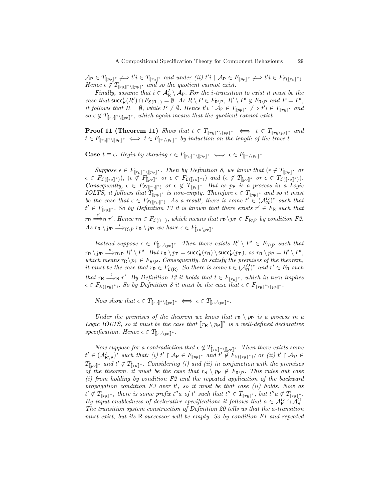$\mathcal{A}_{\mathsf{P}} \in T_{\llbracket p_{\mathsf{P}} \rrbracket^*} \nRightarrow t'i \in T_{\llbracket r_{\mathsf{R}} \rrbracket^*}$  and under (ii)  $t'i \restriction \mathcal{A}_{\mathsf{P}} \in F_{\llbracket p_{\mathsf{P}} \rrbracket^*} \nRightarrow t'i \in F_{\mathcal{E}(\llbracket r_{\mathsf{R}} \rrbracket^*)}.$ *Hence*  $\epsilon \notin T_{\llbracket r_R \rrbracket^* \setminus \llbracket p_P \rrbracket^*}$  and so the quotient cannot exist.

*Finally, assume that*  $i \in A_R^I \setminus A_P$ *. For the <i>i*-transition to exist it must be the case that succ<sub>R</sub> $(R') \cap F_{\mathcal{E}(R_{\perp})} = \emptyset$ . As  $R \setminus P \in F_{R \setminus P}$ ,  $R' \setminus P' \notin F_{R \setminus P}$  and  $P = P'$ , *it follows that*  $R = \emptyset$ , while  $P \neq \emptyset$ . Hence  $t'i \upharpoonright A_P \in T_{[p_P]^*} \iff t'i \in T_{[r_R]^*}$  and *so*  $\epsilon \notin T_{\llbracket r_R \rrbracket^* \setminus \llbracket p_P \rrbracket^*}$ , which again means that the quotient cannot exist.

**Proof 11 (Theorem [11\)](#page-18-2)** *Show that*  $t \in T_{\llbracket r_R \rrbracket^* \setminus \llbracket p_P \rrbracket^*} \iff t \in T_{\llbracket r_R \setminus p_P \rrbracket^*}$  and  $t \in F_{\llbracket r_{\mathbb{R}} \rrbracket^* \setminus \llbracket p_{\mathbb{P}} \rrbracket^*} \Leftrightarrow t \in F_{\llbracket r_{\mathbb{R}} \setminus p_{\mathbb{P}} \rrbracket^*}$  by induction on the length of the trace *t*.

**Case**  $t \equiv \epsilon$ . Begin by showing  $\epsilon \in F_{\Vert r_{\mathsf{R}} \Vert^* \setminus \Vert p_{\mathsf{P}} \Vert^*} \iff \epsilon \in F_{\Vert r_{\mathsf{R}} \setminus p_{\mathsf{P}} \Vert^*}.$ 

 $Suppose \epsilon \in F_{[\![r_{\mathbb{R}}]\!]^* \setminus [\![p_{\mathbb{P}}]\!]^*}$ . Then by Definition [8,](#page-9-0) we know that  $(\epsilon \notin T_{[\![p_{\mathbb{P}}]\!]^*}$  or  $\epsilon \in F_{\mathcal{E}(\llbracket r_{\mathbb{R}} \rrbracket^*)}, (\epsilon \notin F_{\llbracket p_{\mathbb{P}} \rrbracket^*} \text{ or } \epsilon \in T_{\mathcal{E}(\llbracket r_{\mathbb{R}} \rrbracket^*)}).$ *Consequently,*  $\epsilon \in F_{\mathcal{E}(\llbracket r_{\mathbb{R}} \rrbracket^*)}$  *or*  $\epsilon \notin T_{\llbracket p_{\mathbb{P}} \rrbracket^*}$ *. But as p is a process in a Logic IOLTS, it follows that*  $T_{\llbracket p_{\mathsf{P}} \rrbracket^*}$  *is non-empty. Therefore*  $\epsilon \in T_{\llbracket p_{\mathsf{P}} \rrbracket^*}$  *and so it must be the case that*  $\epsilon \in F_{\mathcal{E}(\llbracket r_{\mathbb{R}} \rrbracket^*)}$ . As a result, there is some  $t' \in (A_R^O)^*$  such that  $t' \in F_{\llbracket r_{\mathbb{R}} \rrbracket^*}$ . So by Definition [13](#page-12-0) it is known that there exists  $r' \in F_{\mathsf{R}}$  such that  $r_R \stackrel{t'}{\Longrightarrow}_R r'$ . Hence  $r_R \in F_{\mathcal{E}(R_\perp)}$ , which means that  $r_R \setminus p_P \in F_{R \setminus P}$  by condition  $F2$ .  $As \ rR \setminus pp \stackrel{\epsilon}{\Longrightarrow} R\setminus P \ rR \setminus pp \ we \ have \ \epsilon \in F_{[\![r_R \setminus pp]\!]^*}.$ 

*Instead suppose*  $\epsilon \in F_{\Vert r_R \setminus p_P \Vert^*}$ *. Then there exists*  $R' \setminus P' \in F_{R \setminus P}$  *such that*  $r_{\mathsf{R}}\setminus p_{\mathsf{P}} \stackrel{\epsilon}{\Longrightarrow}_{\mathsf{R}\setminus\mathsf{P}} R' \setminus P'.$   $\mathit{But}\ r_{\mathsf{R}}\setminus p_{\mathsf{P}} = \mathsf{succ}^{\epsilon}_{\mathsf{R}}(r_{\mathsf{R}}) \setminus \mathsf{succ}^{\epsilon}_{\mathsf{P}}(p_{\mathsf{P}}),\ so\ r_{\mathsf{R}}\setminus p_{\mathsf{P}} = R' \setminus P',$ *which means*  $r_R \pmb{\pmb{\pmb{\pmb{\text{p}}}}} \in F_{R \pmb{\pmb{\text{p}}}}$ . Consequently, to satisfy the premises of the theorem, *it must be the case that*  $r_R \in F_{\mathcal{E}(R)}$ *. So there is some*  $t \in (\mathcal{A}_R^O)^*$  *and*  $r' \in F_R$  *such that*  $r_R \stackrel{t}{\Longrightarrow}_R r'$ . By Definition [13](#page-12-0) it holds that  $t \in F_{\llbracket r_R \rrbracket^*}$ , which in turn implies  $\epsilon \in F_{\mathcal{E}(\llbracket r_{\mathbb{R}} \rrbracket^*)}.$  So by Definition [8](#page-9-0) it must be the case that  $\epsilon \in F_{\llbracket r_{\mathbb{R}} \rrbracket^* \setminus \llbracket p_{\mathbb{P}} \rrbracket^*}.$ 

*Now show that*  $\epsilon \in T_{\llbracket r_{\mathsf{R}} \rrbracket^* \setminus \llbracket p_{\mathsf{P}} \rrbracket^*} \iff \epsilon \in T_{\llbracket r_{\mathsf{R}} \setminus p_{\mathsf{P}} \rrbracket^*}.$ 

*Under the premises of the theorem we know that*  $r_R \ p_P$  *is a process in a Logic IOLTS, so it must be the case that*  $[\![r_R \setminus p_P]\!]^*$  *is a well-defined declarative*  $specification. Hence \epsilon \in T_{\llbracket r_R \setminus p_P \rrbracket^*}.$ 

*Now suppose for a contradiction that*  $\epsilon \notin T_{\llbracket r_{\mathbb{R}} \rrbracket^* \setminus \llbracket p_{\mathbb{P}} \rrbracket^*}$ . Then there exists some  $t' \in (A_{\mathsf{R}\setminus\mathsf{P}}^{\mathsf{I}})^*$  such that: (i)  $t' \upharpoonright A_{\mathsf{P}} \in F_{[\![p_P]\!]^*}$  and  $t' \notin F_{\mathcal{E}([\![r_R]\!]^*)}$ ; or (ii)  $t' \upharpoonright A_{\mathcal{P}} \in$  $T_{\llbracket p_{\mathbb{P}} \rrbracket^*}$  and  $t' \notin T_{\llbracket r_{\mathbb{R}} \rrbracket^*}$ . Considering (i) and (ii) in conjunction with the premises *of the theorem, it must be the case that*  $r_R \nvert p_P \notin F_{R \nvert P}$ *. This rules out case (i) from holding by condition [F2](#page-18-4) and the repeated application of the backward propagation condition [F3](#page-18-5) over t* 0 *, so it must be that case (ii) holds. Now as*  $t' \notin T_{\llbracket r_R \rrbracket^*}$ , there is some prefix  $t''a$  of  $t'$  such that  $t'' \in T_{\llbracket r_R \rrbracket^*}$ , but  $t''a \notin T_{\llbracket r_R \rrbracket^*}$ . *By input-enabledness of declarative specifications it follows that*  $a \in A_P^O \cap A_R^O$ *. The transition system construction of Definition [20](#page-17-0) tells us that the a-transition must exist, but its* R*-successor will be empty. So by condition [F1](#page-18-3) and repeated*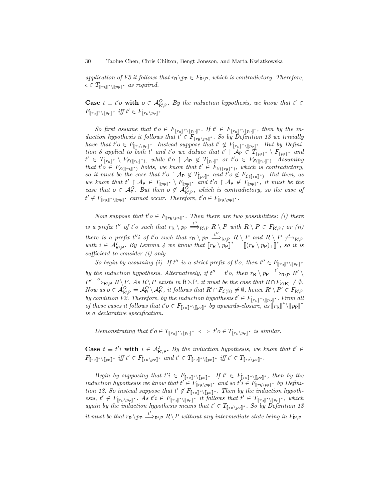*application of* [F3](#page-18-5) *it follows that*  $r_R \pmb{\ge} F_R \pmb{\ge}$ , which is contradictory. Therefore,  $\epsilon \in T_{\llbracket r_{\mathsf{R}} \rrbracket^* \setminus \llbracket p_{\mathsf{P}} \rrbracket^*}$  *as required.* 

**Case**  $t \equiv t'o$  with  $o \in A_{R\backslash P}^O$ . By the induction hypothesis, we know that  $t' \in$  $F_{\llbracket r_{\mathsf{R}} \rrbracket^*\setminus \llbracket p_{\mathsf{P}} \rrbracket^*}$  *iff*  $t' \in F_{\llbracket r_{\mathsf{R}} \setminus p_{\mathsf{P}} \rrbracket^*}$ .

So first assume that  $t' \circ \in F_{\llbracket r_{\mathbb{R}} \rrbracket^* \setminus \llbracket p_{\mathbb{P}} \rrbracket^*}.$  If  $t' \in F_{\llbracket r_{\mathbb{R}} \rrbracket^* \setminus \llbracket p_{\mathbb{P}} \rrbracket^*}.$  If  $t' \in F_{\llbracket r_{\mathbb{R}} \setminus p_{\mathbb{P}} \rrbracket^*}.$  So by Definition [13](#page-12-0) we trivially have that  $t' \circ \in F_{[\![r_R \setminus p_P]\!]^*}$ . Instead suppose that  $t' \notin F_{[\![r_R]\!]^* \setminus [\![p_P]\!]^*}$ . But by Definition [8](#page-9-0) applied to both  $t'$  and  $t' \circ w$  deduce that  $t' \restriction \mathcal{A}_P \in T_{[\![p_P]\!]^*} \setminus F_{[\![p_P]\!]^*}$  and  $t' \in T_{[\![r_P]\!]^*}$  $t' \in T_{\llbracket r_R \rrbracket^*} \setminus F_{\mathcal{E}(\llbracket r_R \rrbracket^*)}$ , while  $t'o \restriction A_P \notin T_{\llbracket p_P \rrbracket^*}$  or  $t'o \in F_{\mathcal{E}(\llbracket r_R \rrbracket^*)}$ . Assuming *that*  $t'o \in F_{\mathcal{E}(\llbracket r_R \rrbracket^*)}$  *holds, we know that*  $t' \in F_{\mathcal{E}(\llbracket r_R \rrbracket^*)}$ , which is contradictory, *so it must be the case that*  $t'o \upharpoonright A_P \notin T_{\llbracket p_P \rrbracket^*}$  and  $t'o \notin F_{\mathcal{E}(\llbracket r_R \rrbracket^*)}$ . But then, as *we know that*  $t' \upharpoonright A_P \in T_{\llbracket pp \rrbracket^*} \setminus F_{\llbracket pp \rrbracket^*}$  and  $t' \circ \upharpoonright A_P \notin T_{\llbracket pp \rrbracket^*}$ , it must be the *case that*  $o \in \mathcal{A}_{\mathsf{P}}^O$ . But then  $o \notin \tilde{\mathcal{A}}_{\mathsf{R}\setminus\mathsf{P}}^O$ , which is contradictory, so the case of  $t' \notin F_{\llbracket r_{\mathsf{R}} \rrbracket^* \setminus \llbracket p_{\mathsf{P}} \rrbracket^*}$  cannot occur. Therefore,  $t' o \in F_{\llbracket r_{\mathsf{R}} \setminus p_{\mathsf{P}} \rrbracket^*}.$ 

*Now suppose that*  $t'o \in F_{\llbracket r_R \setminus p_F \rrbracket^*}$ . Then there are two possibilities: (i) there is a prefix t'' of t'o such that  $r_R \setminus p_P \stackrel{t''}{\Longrightarrow}_{R \setminus P} R \setminus P$  with  $R \setminus P \in F_{R \setminus P}$ ; or (ii) there is a prefix t''i of t'o such that  $r_R \setminus p_P \stackrel{t''}{\Longrightarrow}_{R \setminus P_A} R \setminus P$  and  $R \setminus P \neq \rightarrow R \setminus P$ *with*  $i \in A_{\mathsf{R}\backslash\mathsf{P}}^I$ . By Lemma [4](#page-14-1) we know that  $[\![r_{\mathsf{R}} \setminus p_{\mathsf{P}}]\!]^* = [\![(r_{\mathsf{R}} \setminus p_{\mathsf{P}})\bot]\!]^*$ , so it is *sucient to consider (i) only.*

 $S$ *o begin by assuming (i). If*  $t''$  *is a strict prefix of*  $t'$ *<i>o*, then  $t'' \in F_{\llbracket r_{\mathbb{R}} \rrbracket^* \setminus \llbracket p_{\mathbb{P}} \rrbracket^*}$ *by the induction hypothesis. Alternatively, if*  $t'' = t'$ *o, then*  $r_R \nvert p_P \stackrel{t'}{\Longrightarrow} R \nvert P$  $P' \implies_{R\setminus P} R \setminus P$ . As  $R \setminus P$  exists in  $R \setminus P$ , it must be the case that  $R \cap F_{\mathcal{E}(R)} \neq \emptyset$ . *Now as*  $o \in A_{R\setminus P}^O = A_R^O \setminus A_P^O$ , it follows that  $R' \cap F_{\mathcal{E}(R)} \neq \emptyset$ , hence  $R' \setminus P' \in F_{R\setminus P}$ *by condition F2.* Therefore, by the induction hypothesis  $t' \in F_{\llbracket r_R \rrbracket^* \setminus \llbracket p_P \rrbracket^*}$ . From all *of these cases it follows that*  $t'o \in F_{\llbracket r_R \rrbracket^* \setminus \llbracket p_P \rrbracket^*}$  *by upwards-closure, as*  $\llbracket r_R \rrbracket^* \setminus \llbracket p_P \rrbracket^*$ *is a declarative specification.*

*Demonstrating that*  $t'o \in T_{\llbracket r_{\mathsf{R}} \rrbracket^* \setminus \llbracket p_{\mathsf{P}} \rrbracket^*} \iff t'o \in T_{\llbracket r_{\mathsf{R}} \setminus p_{\mathsf{P}} \rrbracket^*}$  is similar.

**Case**  $t \equiv t'i$  with  $i \in A_{R\backslash P}^I$ . By the induction hypothesis, we know that  $t' \in$  $F_{[\![r_{\mathsf{R}}]\!]^* \setminus [\![p_{\mathsf{P}}]\!]^*}$  iff  $t' \in F_{[\![r_{\mathsf{R}} \setminus p_{\mathsf{P}}]\!]^*}$  and  $t' \in T_{[\![r_{\mathsf{R}}]\!]^* \setminus [\![p_{\mathsf{P}}]\!]^*}$  iff  $t' \in T_{[\![r_{\mathsf{R}} \setminus p_{\mathsf{P}}]\!]^*}$ .

Begin by supposing that  $t' \in F_{\llbracket r_{\mathbb{R}} \rrbracket^* \setminus \llbracket p_{\mathbb{R}} \rrbracket^*}$ . If  $t' \in F_{\llbracket r_{\mathbb{R}} \rrbracket^* \setminus \llbracket p_{\mathbb{R}} \rrbracket^*}$ , then by the induction hypothesis we know that  $t' \in F_{\llbracket r_{\mathbb{R}} \setminus p_{\mathbb{R}} \rrbracket^*}$  and so  $t$ tion [13.](#page-12-0) So instead suppose that  $t' \notin F_{[\![r_{\mathbb{R}}]\!]^* \setminus [\![p_{\mathbb{P}}]\!]^*}$ . Then by the induction hypoth-<br>esis,  $t' \notin F_{[\![r_{\mathbb{R}}]\!] \setminus [\![p_{\mathbb{P}}]\!]^*}$ . As  $t' \in F_{[\![r_{\mathbb{R}}]\!]^* \setminus [\![p_{\mathbb{P}}]\!]^*}$  it follows that  $t' \in T_{[\![r$ *it must be that*  $r_R \pmb{\downarrow} p_P \Longrightarrow_R \pmb{\downarrow} P$  *without any intermediate state being in*  $F_{R \pmb{\downarrow} P}$ .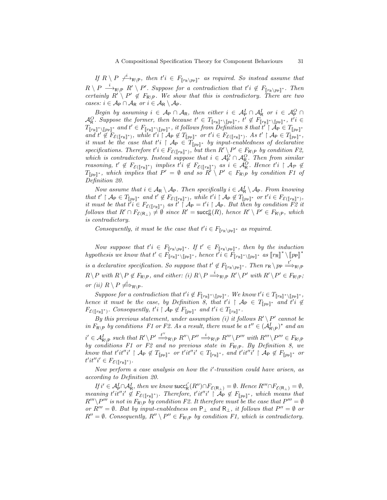$If R \setminus P \not\longrightarrow_{R \setminus P} then t'i \in F_{[r_R \setminus p_P]^*}$  as required. So instead assume that  $R \setminus P \stackrel{i}{\longrightarrow}_{R \setminus P} R' \setminus P'$ . Suppose for a contradiction that  $t'i \notin F_{[r_R \setminus p_P]^*}$ . Then *certainly*  $R' \setminus P' \notin F_{R \setminus P}$ . We show that this is contradictory. There are two *cases:*  $i \in A_P \cap A_R$  *or*  $i \in A_R \setminus A_P$ .

*Begin by assuming*  $i \in A_P \cap A_R$ , then either  $i \in A_P^I \cap A_R^I$  or  $i \in A_P^O \cap$  $\mathcal{A}_{\mathbf{R}}^O$ *. Suppose the former, then because*  $t' \in T_{\llbracket r_{\mathbf{R}} \rrbracket^* \setminus \llbracket p_{\mathbf{P}} \rrbracket^*}, t' \notin F_{\llbracket r_{\mathbf{R}} \rrbracket^* \setminus \llbracket p_{\mathbf{P}} \rrbracket^*}, t' \in T$  $T_{\llbracket r_R \rrbracket^* \setminus \llbracket p_P \rrbracket^*}$  and  $t' \in F_{\llbracket r_P \rrbracket^* \setminus \llbracket p_P \rrbracket^*}$ , it follows from Definition [8](#page-9-0) that  $t' \restriction A_P \in T_{\llbracket p_P \rrbracket^*}$ and  $t' \notin F_{\mathcal{E}(\llbracket r_R \rrbracket^*)}$ , while  $t'i \restriction A_P \notin T_{\llbracket p_P \rrbracket^*}$  or  $t'i \in F_{\mathcal{E}(\llbracket r_R \rrbracket^*)}$ . As  $t' \restriction A_P \in T_{\llbracket p_P \rrbracket^*}$ , it must be the case that  $t'i \restriction A_P \in T_{\llbracket p_P \rrbracket^*}$  by input-enabledness of declarative specifi *which is contradictory. Instead suppose that*  $i \in A_P^O \cap A_R^O$ . Then from similar reasoning,  $t' \notin F_{\mathcal{E}(\llbracket r_R \rrbracket^*)}$  implies  $t'i \notin F_{\mathcal{E}(\llbracket r_R \rrbracket^*)}$  as  $i \in \mathcal{A}_R^O$ . Hence  $t'i \restriction \mathcal{A}_P \notin$  $T_{\llbracket pp \rrbracket^*}$ , which implies that  $P' = \emptyset$  and so  $R' \setminus P' \in F_{\sf R \setminus P}$  by condition  $F1$  of *Definition [20.](#page-17-0)*

*Now assume that*  $i \in A_R \setminus A_P$ *. Then specifically*  $i \in A_R^I \setminus A_P$ *. From knowing* that  $t' \upharpoonright A_P \in T_{[I_P]}^*$  and  $t' \notin F_{\mathcal{E}([r_R]^*)}$ , while  $t'i \upharpoonright A_P \notin T_{[I_P]}^*$  or  $t'i \in F_{\mathcal{E}([r_R]^*)}$ *it must be that*  $t'$ *i*  $\in$   $F_{\mathcal{E}}(\llbracket r_R \rrbracket^*)$  *as*  $t' \restriction \mathcal{A}_P = t'$ *i*  $\restriction \mathcal{A}_P$ *. But then by condition*  $F2$  *it follows that*  $R' \cap F_{\mathcal{E}(R_{\perp})} \neq \emptyset$  *since*  $R' = \text{succ}_R^a(R)$ *, hence*  $R' \setminus P' \in F_{R \setminus P}$ *, which is contradictory.*

*Consequently, it must be the case that*  $t'$ *i*  $\in$   $F_{\llbracket r_R \setminus p_P \rrbracket^*}$  *as required.* 

Now suppose that  $t' \in F_{\llbracket r_R \setminus p_P \rrbracket^*}.$  If  $t' \in F_{\llbracket r_R \setminus p_P \rrbracket^*},$  then by the induction<br>hypothesis we know that  $t' \in F_{\llbracket r_R \rrbracket^* \setminus \llbracket p_P \rrbracket^*},$  hence  $t'i \in F_{\llbracket r_R \rrbracket^* \setminus \llbracket p_P \rrbracket^*}$  as  $\llbracket r_R \rrbracket^* \setminus \ll$ *is a declarative specification. So suppose that*  $t' \notin F_{\llbracket r_R \setminus p_P \rrbracket^*}$ *. Then*  $r_R \setminus p_P \stackrel{t'}{\Longrightarrow}_{R \setminus P}$  $R \backslash P$  with  $R \backslash P \notin F_{\mathsf{R} \backslash P}$ , and either: (i)  $R \backslash P \stackrel{i}{\Longrightarrow}_{\mathsf{R} \backslash P} R' \backslash P'$  with  $R' \backslash P' \in F_{\mathsf{R} \backslash P}$ ; *or (ii)*  $R \setminus P \not\Longrightarrow_{R \setminus P} P$ .

Suppose for a contradiction that  $t'i \notin F_{\llbracket r_{\mathbb{R}} \rrbracket^* \setminus \llbracket p_{\mathbb{P}} \rrbracket^*}.$  We know  $t'i \in T_{\llbracket r_{\mathbb{R}} \rrbracket^* \setminus \llbracket p_{\mathbb{P}} \rrbracket^*}.$ <br>hence it must be the case, by Definition [8,](#page-9-0) that  $t'i \upharpoonright A_{\mathsf{P}} \in T_{\llbracket p_{\mathbb{P}} \$  $F_{\mathcal{E}(\llbracket r_{\mathsf{R}} \rrbracket^*)}$ . Consequently,  $t'i \restriction \mathcal{A}_{\mathsf{P}} \notin F_{\llbracket p_{\mathsf{P}} \rrbracket^*}$  and  $t'i \in T_{\llbracket r_{\mathsf{R}} \rrbracket^*}.$ 

*By this previous statement, under assumption (i) it follows*  $R' \setminus P'$  *cannot be in*  $F_{\mathsf{R}\setminus\mathsf{P}}$  *by conditions*  $F1$  *or*  $F2$ *. As a result, there must be a*  $t'' \in (\mathcal{A}_{\mathsf{R}\setminus\mathsf{P}}^1)^*$  *and an*  $i' \in \mathcal{A}_{R \setminus P}^I$  such that  $R' \setminus P' \stackrel{t''}{\Longrightarrow}_{R \setminus P} R'' \setminus P'' \stackrel{i}{\Longrightarrow}_{R \setminus P} R''' \setminus P'''$  with  $R''' \setminus P''' \in F_{R \setminus P}$ *by conditions*  $F1$  *or*  $F2$  *and no previous state in*  $F_{\mathsf{R}\backslash\mathsf{P}}$ *. By Definition* [8,](#page-9-0) we know that  $t' i t'' i' \upharpoonright A_P \notin T_{[\![p_P]\!]^*}$  or  $t' i t'' i' \in T_{[\![r_R]\!]^*}$ , and  $t' i t'' i' \upharpoonright A_P \notin F_{[\![p_P]\!]^*}$  or  $t' i t'' i' \upharpoonright A_P \notin F_{[\![p_P]\!]^*}$  $t'it''i' \in F_{\mathcal{E}(\llbracket r_{\mathsf{R}} \rrbracket^*)}.$ 

*Now perform a case analysis on how the i'-transition could have arisen, as according to Definition [20.](#page-17-0)*

 $If i' \in \mathcal{A}_P^I \cap \mathcal{A}_R^I$ , then we know succ<sup>i</sup>( $R'' \cap F_{\mathcal{E}(R_\perp)} = \emptyset$ . Hence  $R''' \cap F_{\mathcal{E}(R_\perp)} = \emptyset$ ,  $\begin{array}{ll}\n$ *meaning*  $t'it''i' \notin F_{\mathcal{E}(\llbracket r_{\mathbb{R}} \rrbracket^*)}$ . Therefore,  $t'it''i' \restriction A_{\mathsf{P}} \notin F_{\llbracket p_{\mathbb{P}} \rrbracket^*}$ , which means that  $R'''\P''''$  *is not in*  $F_{\mathsf{R}\P}$  *by condition* [F2.](#page-18-4) It therefore must be the case that  $P''' = \emptyset$ *or*  $R^{\prime\prime\prime} = \emptyset$ . But by input-enabledness on  $P_{\perp}$  and  $R_{\perp}$ , it follows that  $P^{\prime\prime} = \emptyset$  or  $R'' = \emptyset$ . Consequently,  $R'' \setminus P'' \in F_{\mathsf{R} \setminus \mathsf{P}}$  by condition [F1,](#page-18-3) which is contradictory.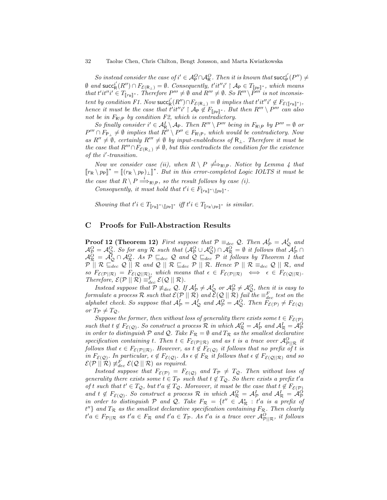*So instead consider the case of*  $i' \in A_P^O \cap A_R^O$ . Then it is known that succ<sub>p</sub><sup>'</sup> $(P'') \neq$  $\emptyset$  and succ<sup>i</sup><sup>'</sup> $(R'') \cap F_{\mathcal{E}(R_\perp)} = \emptyset$ . Consequently,  $t'it''i' \upharpoonright A_P \in T_{\llbracket pp \rrbracket^*}$ , which means *that*  $t'it''i' \in T_{\llbracket r_R \rrbracket^*}$ . Therefore  $P''' \neq \emptyset$  and  $R''' \neq \emptyset$ . So  $R''' \setminus P'''$  is not inconsis*tent by condition F1. Now* succ<sup>i</sup><sup> $K$ </sup>( $R''$ ) $\cap$   $F_{\mathcal{E}(R_{\perp})} = \emptyset$  *implies that*  $t'$ *it*<sup> $H''$ </sup> $\emptyset \notin F_{\mathcal{E}(\llbracket r_R \rrbracket^*)}$ , *hence it must be the case that t* 0 *it*00*i* <sup>0</sup> *<sup>A</sup>*<sup>P</sup> <sup>62</sup> *<sup>F</sup>*J*p*PK⇤ *. But then <sup>R</sup>*<sup>000</sup> *\ <sup>P</sup>*<sup>000</sup> *can also not be in*  $F_{\mathsf{R}\setminus\mathsf{P}}$  *by condition*  $F2$ *, which is contradictory.* 

*So finally consider*  $i' \in A_R^I \setminus A_P^P$ . Then  $R''' \setminus P'''$  being in  $F_{R \setminus P}$  by  $P''' = \emptyset$  or  $P''' \cap F_{\mathsf{P}_\perp} \neq \emptyset$  implies that  $R'' \setminus P'' \in F_{\mathsf{R} \setminus \mathsf{P}}$ , which would be contradictory. Now *as*  $R'' \neq \emptyset$ , certainly  $R''' \neq \emptyset$  by input-enabledness of  $R_{\perp}$ . Therefore it must be *the case that*  $R''' \cap F_{\mathcal{E}(R_1)} \neq \emptyset$ , *but this contradicts the condition for the existence of the i* 0 *-transition.*

*Now we consider case (ii), when*  $R \setminus P \not\Rightarrow_{R \setminus P} P$ *. Notice by Lemma [4](#page-14-1) that*  $\llbracket r_{\mathsf{R}} \setminus p_{\mathsf{P}} \rrbracket^* = \llbracket (r_{\mathsf{R}} \setminus p_{\mathsf{P}}) \rrbracket^*$ . But in this error-completed Logic IOLTS it must be *the case that*  $R \setminus P \stackrel{i}{\Longrightarrow}_{R \setminus P}$ *, so the result follows by case (i).* 

Consequently, it must hold that  $t'$  *i*  $\in$   $F_{\llbracket r_R \rrbracket^* \setminus \llbracket p_P \rrbracket^*}$ .

Showing that  $t'i \in T_{\llbracket r_{\mathsf{R}} \rrbracket^* \setminus \llbracket p_{\mathsf{P}} \rrbracket^*}$  *if*  $t'i \in T_{\llbracket r_{\mathsf{R}} \setminus p_{\mathsf{P}} \rrbracket^*}$  *is similar.* 

# C Proofs for Full-Abstraction Results

**Proof 12 (Theorem [12\)](#page-20-0)** First suppose that  $P \equiv_{dec} Q$ . Then  $A_P^I = A_Q^I$  and  $A_Q^O = A_Q^O$  *and*  $A_Q^O = A_Q^O$  *and*  $A_Q^O = A_Q^O$  $\mathcal{A}_{\mathcal{D}}^{O} = \mathcal{A}_{\mathcal{Q}}^{O}$ . So for any R such that  $(\mathcal{A}_{\mathcal{D}}^{O} \cup \mathcal{A}_{\mathcal{Q}}^{O}) \cap \mathcal{A}_{\mathcal{D}}^{O} = \emptyset$  it follows that  $\mathcal{A}_{\mathcal{D}}^{I} \cap$  $A_{\mathcal{R}}^{\mathcal{Q}} = A_{\mathcal{Q}}^{\mathcal{I}} \cap A_{\mathcal{R}}^{\mathcal{Q}}$ . As  $\mathcal{P} \sqsubseteq_{dec} \mathcal{Q}$  and  $\mathcal{Q} \sqsubseteq_{dec} \mathcal{P}$  *it follows by Theorem [1](#page-8-0) that*  $P \parallel \mathcal{R} \sqsubseteq_{dec}^{\bullet} \mathcal{Q} \parallel \mathcal{R}$  and  $\mathcal{Q} \parallel \mathcal{R} \sqsubseteq_{dec} \mathcal{P} \parallel \mathcal{R}$ *. Hence*  $\mathcal{P} \parallel \mathcal{R} \equiv_{dec} \mathcal{Q} \parallel \mathcal{R}$ *, and*  $S$ <sup>*O*</sup>  $F$ <sub> $\mathcal{E}(\mathcal{P}||\mathcal{R}) = F$ <sub> $\mathcal{E}(\mathcal{Q}||\mathcal{R})$ *, which means that*  $\epsilon \in F$ <sub> $\mathcal{E}(\mathcal{P}||\mathcal{R}) \iff \epsilon \in F$  $\mathcal{E}(\mathcal{Q}||\mathcal{R})$ *.*</sub></sub></sub> *Therefore,*  $\mathcal{E}(\mathcal{P} \parallel \mathcal{R}) \equiv_{dec}^F \mathcal{E}(\mathcal{Q} \parallel \mathcal{R})$ .

*Instead suppose that*  $P \not\equiv_{dec} Q$ *. If*  $A_P^I \neq A_Q^I$  or  $A_P^O \neq A_Q^O$ , then it is easy to *formulate a process <sup>R</sup> such that <sup>E</sup>*(*P || R*) *and <sup>E</sup>*(*Q || R*) *fail the* ⌘*<sup>F</sup> dec test on the* alphabet check. So suppose that  $A^I_{\mathcal{P}} = A^I_{\mathcal{Q}}$  and  $A^O_{\mathcal{P}} = A^O_{\mathcal{Q}}$ . Then  $F_{\mathcal{E}(\mathcal{P})} \neq F_{\mathcal{E}(\mathcal{Q})}$ *or*  $T_{\mathcal{P}} \neq T_{\mathcal{Q}}$ *.* 

*Suppose the former, then without loss of generality there exists some*  $t \in F_{\mathcal{E}(P)}$ *such that*  $t \notin F_{\mathcal{E}(\mathcal{Q})}$ *. So construct a process*  $\mathcal{R}$  *in which*  $\mathcal{A}_{\mathcal{R}}^{\mathcal{Q}} = \mathcal{A}_{\mathcal{P}}^{\mathcal{I}}$  *and*  $\mathcal{A}_{\mathcal{R}}^{\mathcal{I}} = \mathcal{A}_{\mathcal{P}}^{\mathcal{Q}}$ *in order to distinguish*  $P$  *and*  $Q$ *. Take*  $F_R = \emptyset$  *and*  $T_R$  *as the smallest declarative*  $$ *follows that*  $\epsilon \in F_{\mathcal{E}(\mathcal{P}||\mathcal{R})}$ *. However, as*  $t \notin F_{\mathcal{E}(\mathcal{Q})}$  *it follows that no prefix of t is*  $in$   $F_{\mathcal{E}(\mathcal{Q})}$ *. In particular,*  $\epsilon \notin F_{\mathcal{E}(\mathcal{Q})}$ *. As*  $\epsilon \notin F_{\mathcal{R}}$ *it follows that*  $\epsilon \notin F_{\mathcal{E}(\mathcal{Q}||\mathcal{R})}$ *and so*  $\mathcal{E}(\mathcal{P} \parallel \mathcal{R}) \not\equiv_{dec}^F \mathcal{E}(\mathcal{Q} \parallel \mathcal{R})$  *as required.* 

*Instead suppose that*  $F_{\mathcal{E}(\mathcal{P})} = F_{\mathcal{E}(\mathcal{Q})}$  *and*  $T_{\mathcal{P}} \neq T_{\mathcal{Q}}$ *. Then without loss of generality there exists some*  $t \in T_P$  *such that*  $t \notin T_Q$ *. So there exists a prefix*  $t'a$ *of t* such that  $t' \in T_Q$ , but  $t'a \notin T_Q$ . Moreover, it must be the case that  $t \notin F_{\mathcal{E}(P)}$ *and*  $t \notin F_{\mathcal{E}(\mathcal{Q})}$ *. So construct a process*  $\mathcal{R}$  *in which*  $\mathcal{A}_{\mathcal{R}}^{\mathcal{Q}} = \mathcal{A}_{\mathcal{P}}^{\mathcal{I}}$  *and*  $\mathcal{A}_{\mathcal{R}}^{\mathcal{I}} = \mathcal{A}_{\mathcal{P}}^{\mathcal{Q}}$ *in order to distinguish*  $P$  *and*  $Q$ *. Take*  $F_R = \{t'' \in A_R^* : t'a$  *is a prefix of*  $t^{\prime\prime}$ *f* and  $T_R$  as the smallest declarative specification containing  $F_R$ . Then clearly  $t'a \in F_{\mathcal{P}||\mathcal{R}}$  as  $t'a \in F_{\mathcal{R}}$  and  $t'a \in T_{\mathcal{P}}$ . As  $t'a$  is a trace over  $\mathcal{A}_{\mathcal{P}||\mathcal{R}}^O$ , it follows